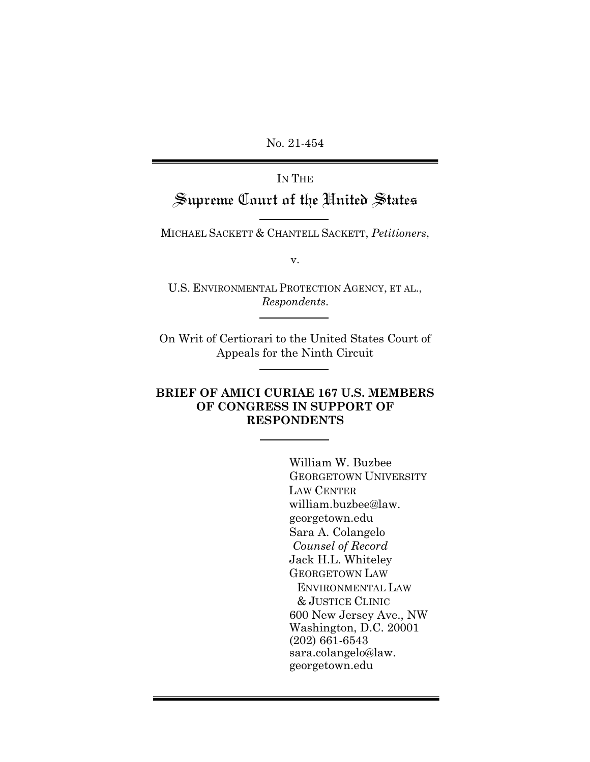No. 21-454

# IN THE Supreme Court of the United States

MICHAEL SACKETT & CHANTELL SACKETT, *Petitioners*,

v.

U.S. ENVIRONMENTAL PROTECTION AGENCY, ET AL., *Respondents*.

On Writ of Certiorari to the United States Court of Appeals for the Ninth Circuit

## **BRIEF OF AMICI CURIAE 167 U.S. MEMBERS OF CONGRESS IN SUPPORT OF RESPONDENTS**

William W. Buzbee GEORGETOWN UNIVERSITY LAW CENTER william.buzbee@law. georgetown.edu Sara A. Colangelo *Counsel of Record* Jack H.L. Whiteley GEORGETOWN LAW ENVIRONMENTAL LAW & JUSTICE CLINIC 600 New Jersey Ave., NW Washington, D.C. 20001 (202) 661-6543 sara.colangelo@law. georgetown.edu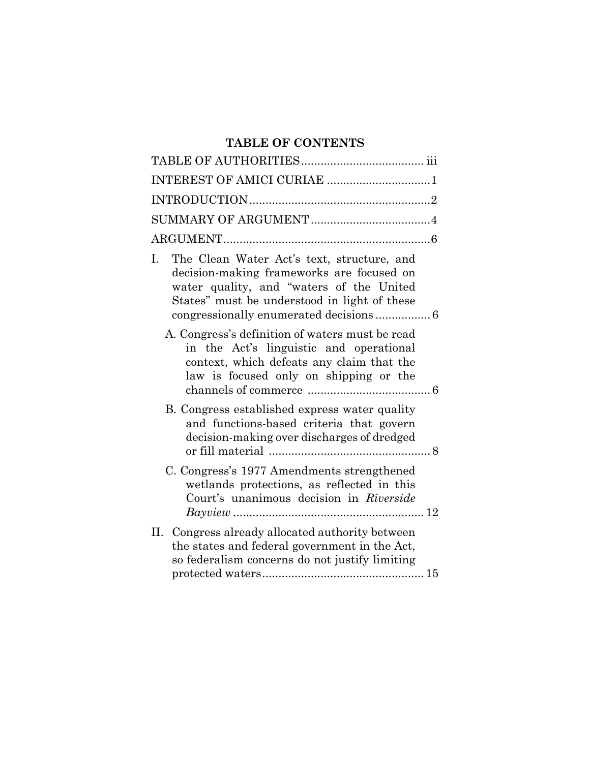## **TABLE OF CONTENTS**

| INTEREST OF AMICI CURIAE 1                                                                                                                                                                |
|-------------------------------------------------------------------------------------------------------------------------------------------------------------------------------------------|
|                                                                                                                                                                                           |
|                                                                                                                                                                                           |
|                                                                                                                                                                                           |
| The Clean Water Act's text, structure, and<br>I.<br>decision-making frameworks are focused on<br>water quality, and "waters of the United<br>States" must be understood in light of these |
| A. Congress's definition of waters must be read<br>in the Act's linguistic and operational<br>context, which defeats any claim that the<br>law is focused only on shipping or the         |
| B. Congress established express water quality<br>and functions-based criteria that govern<br>decision-making over discharges of dredged                                                   |
| C. Congress's 1977 Amendments strengthened<br>wetlands protections, as reflected in this<br>Court's unanimous decision in Riverside                                                       |
| II. Congress already allocated authority between<br>the states and federal government in the Act,<br>so federalism concerns do not justify limiting                                       |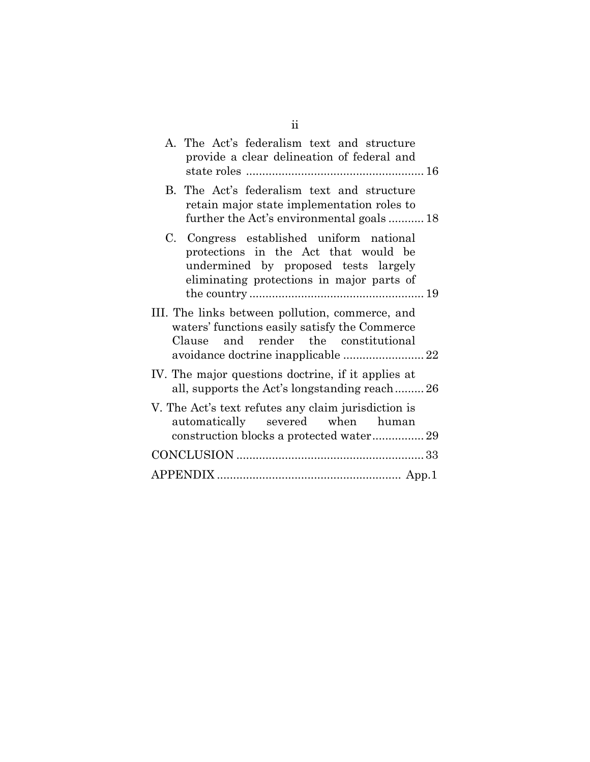| ii                                                                                                                                                                    |
|-----------------------------------------------------------------------------------------------------------------------------------------------------------------------|
| A. The Act's federalism text and structure<br>provide a clear delineation of federal and                                                                              |
| B. The Act's federalism text and structure<br>retain major state implementation roles to<br>further the Act's environmental goals18                                   |
| C. Congress established uniform national<br>protections in the Act that would be<br>undermined by proposed tests largely<br>eliminating protections in major parts of |
| III. The links between pollution, commerce, and<br>waters' functions easily satisfy the Commerce<br>Clause and render the constitutional                              |
| IV. The major questions doctrine, if it applies at<br>all, supports the Act's longstanding reach26                                                                    |
| V. The Act's text refutes any claim jurisdiction is<br>automatically severed when human                                                                               |
|                                                                                                                                                                       |
|                                                                                                                                                                       |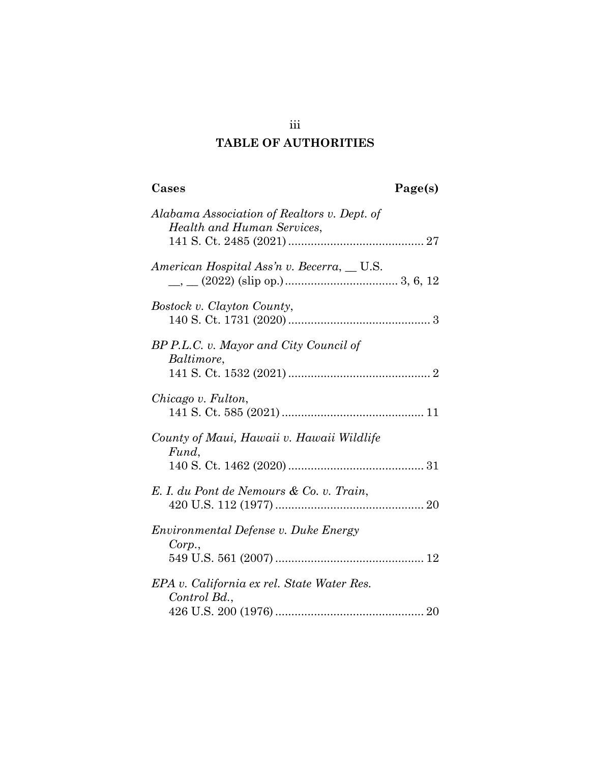## **TABLE OF AUTHORITIES**

**Cases Page(s)**

| Alabama Association of Realtors v. Dept. of<br>Health and Human Services, |  |
|---------------------------------------------------------------------------|--|
| American Hospital Ass'n v. Becerra, __ U.S.                               |  |
| Bostock v. Clayton County,                                                |  |
| BP P.L.C. v. Mayor and City Council of<br>Baltimore,                      |  |
| Chicago v. Fulton,                                                        |  |
| County of Maui, Hawaii v. Hawaii Wildlife<br>Fund,                        |  |

| E. I. du Pont de Nemours & Co. v. Train,       |  |
|------------------------------------------------|--|
| Environmental Defense v. Duke Energy<br>Corp., |  |
|                                                |  |

| EPA v. California ex rel. State Water Res. |  |
|--------------------------------------------|--|
| Control Bd.,                               |  |
|                                            |  |

iii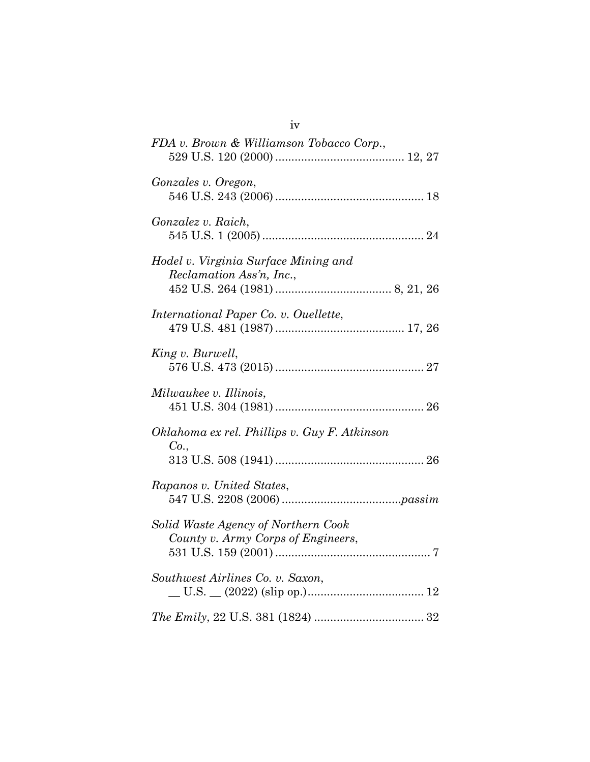| FDA v. Brown & Williamson Tobacco Corp.,                                  |
|---------------------------------------------------------------------------|
| Gonzales v. Oregon,                                                       |
| Gonzalez v. Raich,                                                        |
| Hodel v. Virginia Surface Mining and<br>Reclamation Ass'n, Inc.,          |
| International Paper Co. v. Ouellette,                                     |
| King v. Burwell,                                                          |
| Milwaukee v. Illinois,                                                    |
| Oklahoma ex rel. Phillips v. Guy F. Atkinson<br>Co.,                      |
| Rapanos v. United States,                                                 |
| Solid Waste Agency of Northern Cook<br>County v. Army Corps of Engineers, |
| Southwest Airlines Co. v. Saxon,                                          |
|                                                                           |

iv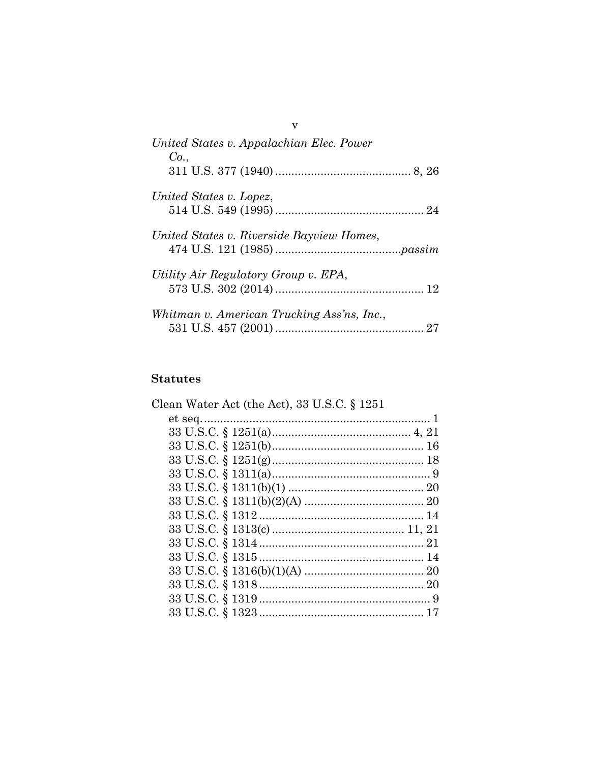| United States v. Appalachian Elec. Power<br>Co. |  |
|-------------------------------------------------|--|
|                                                 |  |
| United States v. Lopez,                         |  |
| United States v. Riverside Bayview Homes,       |  |
| Utility Air Regulatory Group v. EPA,            |  |
| Whitman v. American Trucking Ass'ns, Inc.,      |  |

## **Statutes**

| Clean Water Act (the Act), 33 U.S.C. § 1251 |  |
|---------------------------------------------|--|
|                                             |  |
|                                             |  |
|                                             |  |
|                                             |  |
|                                             |  |
|                                             |  |
|                                             |  |
|                                             |  |
|                                             |  |
|                                             |  |
|                                             |  |
|                                             |  |
|                                             |  |
|                                             |  |
|                                             |  |
|                                             |  |

 $\mathbf{v}$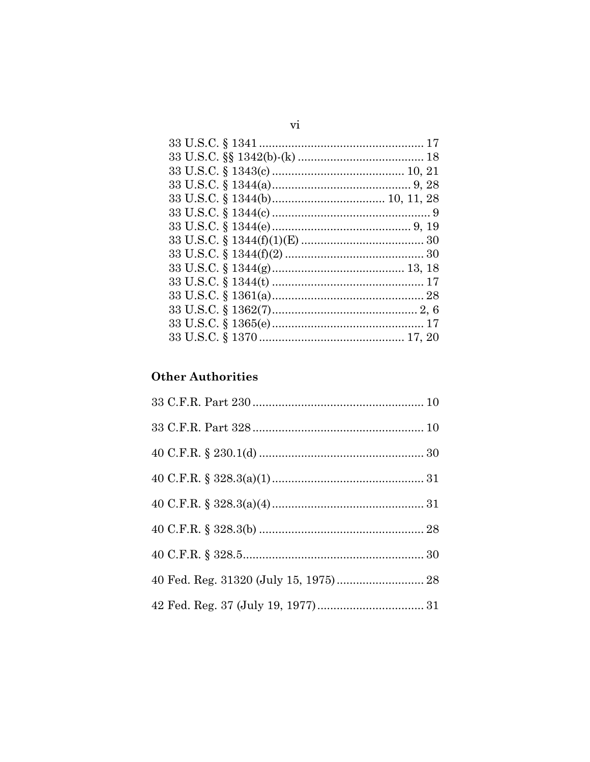## **Other Authorities**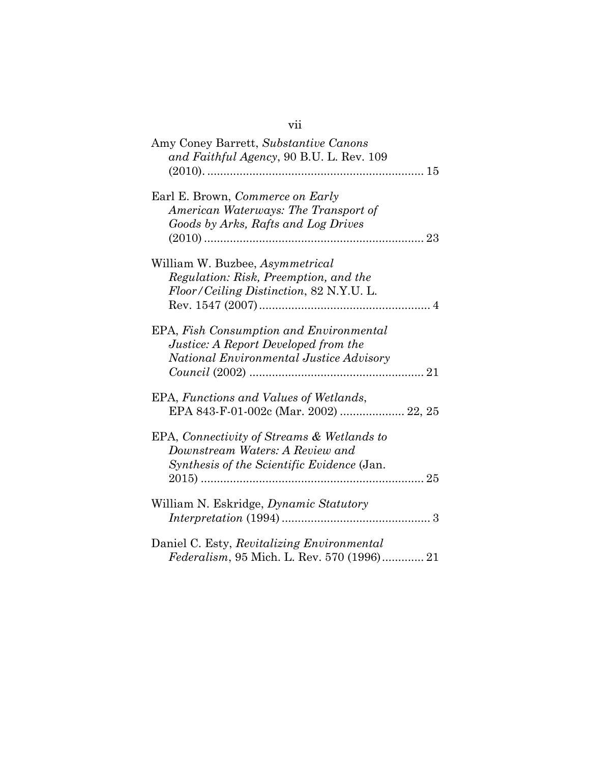| Amy Coney Barrett, Substantive Canons<br>and Faithful Agency, 90 B.U. L. Rev. 109                                           |
|-----------------------------------------------------------------------------------------------------------------------------|
| Earl E. Brown, Commerce on Early<br>American Waterways: The Transport of<br>Goods by Arks, Rafts and Log Drives             |
| William W. Buzbee, Asymmetrical<br>Regulation: Risk, Preemption, and the<br>Floor/Ceiling Distinction, 82 N.Y.U. L.         |
| EPA, Fish Consumption and Environmental<br>Justice: A Report Developed from the<br>National Environmental Justice Advisory  |
| EPA, Functions and Values of Wetlands,<br>EPA 843-F-01-002c (Mar. 2002)  22, 25                                             |
| EPA, Connectivity of Streams & Wetlands to<br>Downstream Waters: A Review and<br>Synthesis of the Scientific Evidence (Jan. |
| William N. Eskridge, <i>Dynamic Statutory</i>                                                                               |
| Daniel C. Esty, Revitalizing Environmental<br>Federalism, 95 Mich. L. Rev. 570 (1996) 21                                    |

## vii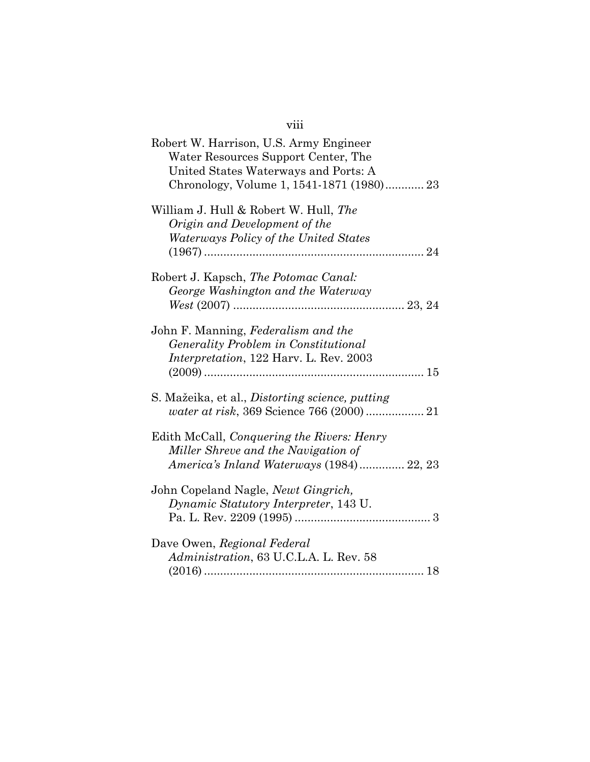| Robert W. Harrison, U.S. Army Engineer<br>Water Resources Support Center, The<br>United States Waterways and Ports: A<br>Chronology, Volume 1, 1541-1871 (1980) 23 |  |
|--------------------------------------------------------------------------------------------------------------------------------------------------------------------|--|
| William J. Hull & Robert W. Hull, The<br>Origin and Development of the<br>Waterways Policy of the United States                                                    |  |
| Robert J. Kapsch, The Potomac Canal:<br>George Washington and the Waterway                                                                                         |  |
| John F. Manning, Federalism and the<br>Generality Problem in Constitutional<br><i>Interpretation</i> , 122 Harv. L. Rev. 2003                                      |  |
| S. Mažeika, et al., Distorting science, putting                                                                                                                    |  |
| Edith McCall, Conquering the Rivers: Henry<br>Miller Shreve and the Navigation of<br>America's Inland Waterways (1984) 22, 23                                      |  |
| John Copeland Nagle, <i>Newt Gingrich</i> ,<br>Dynamic Statutory Interpreter, 143 U.                                                                               |  |
| Dave Owen, Regional Federal<br>Administration, 63 U.C.L.A. L. Rev. 58                                                                                              |  |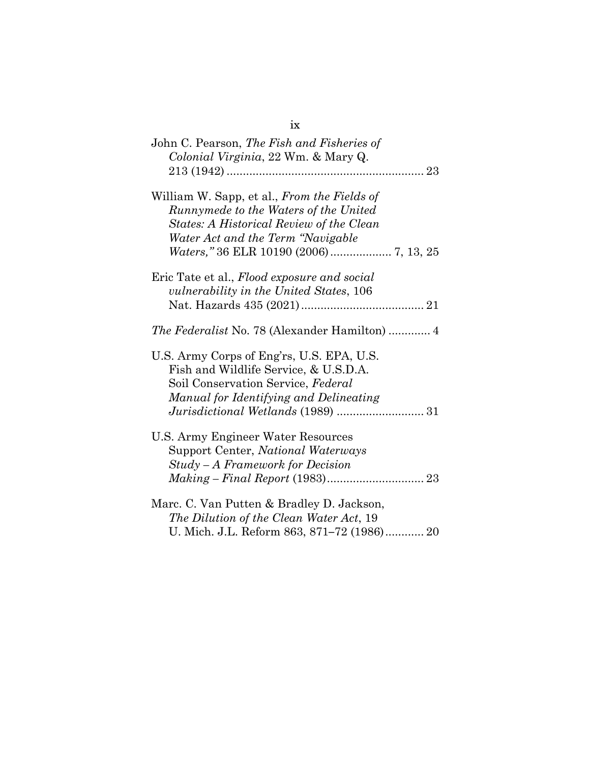| ix                                                                                                                                                                                                               |
|------------------------------------------------------------------------------------------------------------------------------------------------------------------------------------------------------------------|
| John C. Pearson, The Fish and Fisheries of<br>Colonial Virginia, 22 Wm. & Mary Q.                                                                                                                                |
| William W. Sapp, et al., From the Fields of<br>Runnymede to the Waters of the United<br>States: A Historical Review of the Clean<br>Water Act and the Term "Navigable"<br>Waters," 36 ELR 10190 (2006) 7, 13, 25 |
| Eric Tate et al., Flood exposure and social<br><i>vulnerability in the United States, 106</i>                                                                                                                    |
| <i>The Federalist</i> No. 78 (Alexander Hamilton)  4                                                                                                                                                             |
| U.S. Army Corps of Eng'rs, U.S. EPA, U.S.<br>Fish and Wildlife Service, & U.S.D.A.<br>Soil Conservation Service, Federal<br>Manual for Identifying and Delineating                                               |
| U.S. Army Engineer Water Resources<br>Support Center, National Waterways<br>Study - A Framework for Decision                                                                                                     |
| Marc. C. Van Putten & Bradley D. Jackson,<br>The Dilution of the Clean Water Act, 19<br>U. Mich. J.L. Reform 863, 871-72 (1986) 20                                                                               |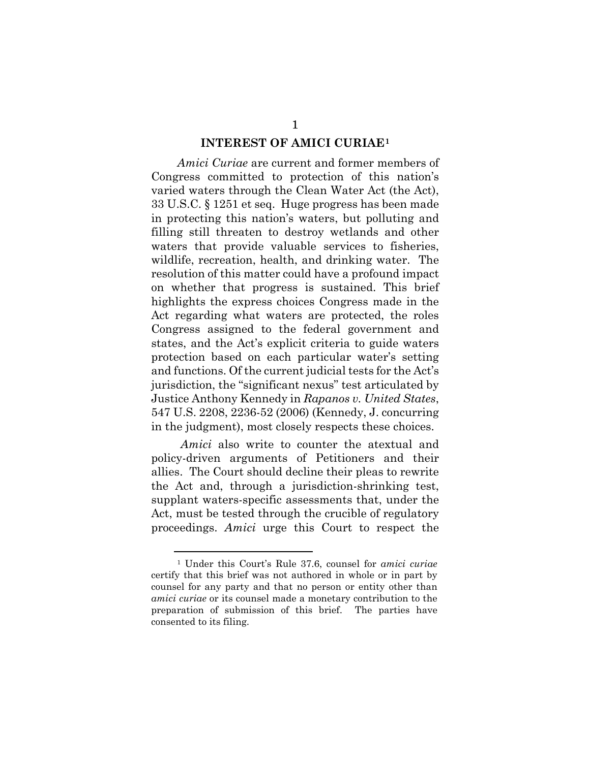#### **INTEREST OF AMICI CURIAE[1](#page-10-0)**

*Amici Curiae* are current and former members of Congress committed to protection of this nation's varied waters through the Clean Water Act (the Act), 33 U.S.C. § 1251 et seq. Huge progress has been made in protecting this nation's waters, but polluting and filling still threaten to destroy wetlands and other waters that provide valuable services to fisheries, wildlife, recreation, health, and drinking water. The resolution of this matter could have a profound impact on whether that progress is sustained. This brief highlights the express choices Congress made in the Act regarding what waters are protected, the roles Congress assigned to the federal government and states, and the Act's explicit criteria to guide waters protection based on each particular water's setting and functions. Of the current judicial tests for the Act's jurisdiction, the "significant nexus" test articulated by Justice Anthony Kennedy in *Rapanos v. United States*, 547 U.S. 2208, 2236-52 (2006) (Kennedy, J. concurring in the judgment), most closely respects these choices.

*Amici* also write to counter the atextual and policy-driven arguments of Petitioners and their allies. The Court should decline their pleas to rewrite the Act and, through a jurisdiction-shrinking test, supplant waters-specific assessments that, under the Act, must be tested through the crucible of regulatory proceedings. *Amici* urge this Court to respect the

<span id="page-10-0"></span><sup>1</sup> Under this Court's Rule 37.6, counsel for *amici curiae* certify that this brief was not authored in whole or in part by counsel for any party and that no person or entity other than *amici curiae* or its counsel made a monetary contribution to the preparation of submission of this brief. The parties have consented to its filing.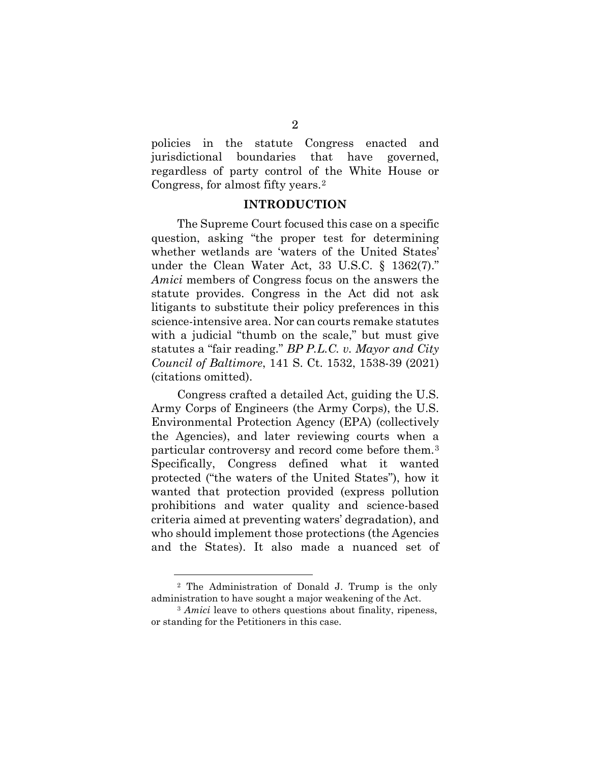policies in the statute Congress enacted and jurisdictional boundaries that have governed, regardless of party control of the White House or Congress, for almost fifty years.[2](#page-11-0)

#### **INTRODUCTION**

The Supreme Court focused this case on a specific question, asking "the proper test for determining whether wetlands are 'waters of the United States' under the Clean Water Act, 33 U.S.C. § 1362(7)." *Amici* members of Congress focus on the answers the statute provides. Congress in the Act did not ask litigants to substitute their policy preferences in this science-intensive area. Nor can courts remake statutes with a judicial "thumb on the scale," but must give statutes a "fair reading." *BP P.L.C. v. Mayor and City Council of Baltimore*, 141 S. Ct. 1532, 1538-39 (2021) (citations omitted).

Congress crafted a detailed Act, guiding the U.S. Army Corps of Engineers (the Army Corps), the U.S. Environmental Protection Agency (EPA) (collectively the Agencies), and later reviewing courts when a particular controversy and record come before them.[3](#page-11-1) Specifically, Congress defined what it wanted protected ("the waters of the United States"), how it wanted that protection provided (express pollution prohibitions and water quality and science-based criteria aimed at preventing waters' degradation), and who should implement those protections (the Agencies and the States). It also made a nuanced set of

<span id="page-11-0"></span><sup>2</sup> The Administration of Donald J. Trump is the only administration to have sought a major weakening of the Act.

<span id="page-11-1"></span><sup>&</sup>lt;sup>3</sup> *Amici* leave to others questions about finality, ripeness, or standing for the Petitioners in this case.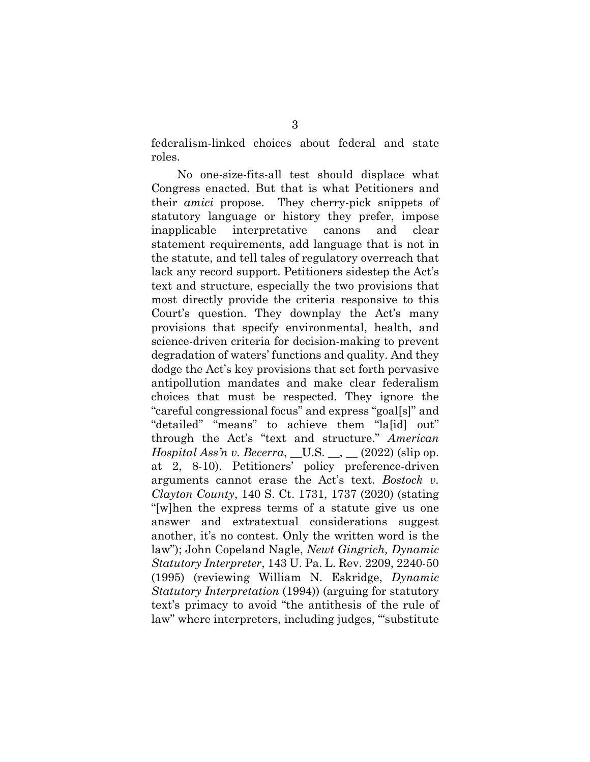federalism-linked choices about federal and state roles.

No one-size-fits-all test should displace what Congress enacted. But that is what Petitioners and their *amici* propose. They cherry-pick snippets of statutory language or history they prefer, impose inapplicable interpretative canons and clear statement requirements, add language that is not in the statute, and tell tales of regulatory overreach that lack any record support. Petitioners sidestep the Act's text and structure, especially the two provisions that most directly provide the criteria responsive to this Court's question. They downplay the Act's many provisions that specify environmental, health, and science-driven criteria for decision-making to prevent degradation of waters' functions and quality. And they dodge the Act's key provisions that set forth pervasive antipollution mandates and make clear federalism choices that must be respected. They ignore the "careful congressional focus" and express "goal[s]" and "detailed" "means" to achieve them "la[id] out" through the Act's "text and structure." *American Hospital Ass'n v. Becerra*, \_U.S. \_, \_ (2022) (slip op. at 2, 8-10). Petitioners' policy preference-driven arguments cannot erase the Act's text. *Bostock v. Clayton County*, 140 S. Ct. 1731, 1737 (2020) (stating "[w]hen the express terms of a statute give us one answer and extratextual considerations suggest another, it's no contest. Only the written word is the law"); John Copeland Nagle, *Newt Gingrich, Dynamic Statutory Interpreter*, 143 U. Pa. L. Rev. 2209, 2240-50 (1995) (reviewing William N. Eskridge, *Dynamic Statutory Interpretation* (1994)) (arguing for statutory text's primacy to avoid "the antithesis of the rule of law" where interpreters, including judges, "substitute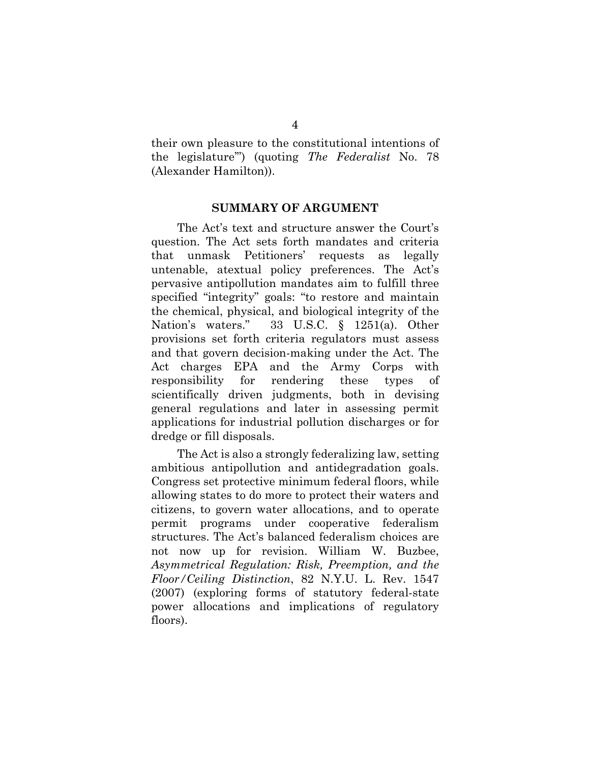their own pleasure to the constitutional intentions of the legislature'") (quoting *The Federalist* No. 78 (Alexander Hamilton)).

#### **SUMMARY OF ARGUMENT**

The Act's text and structure answer the Court's question. The Act sets forth mandates and criteria that unmask Petitioners' requests as legally untenable, atextual policy preferences. The Act's pervasive antipollution mandates aim to fulfill three specified "integrity" goals: "to restore and maintain the chemical, physical, and biological integrity of the Nation's waters." 33 U.S.C. § 1251(a). Other provisions set forth criteria regulators must assess and that govern decision-making under the Act. The Act charges EPA and the Army Corps with responsibility for rendering these types of scientifically driven judgments, both in devising general regulations and later in assessing permit applications for industrial pollution discharges or for dredge or fill disposals.

The Act is also a strongly federalizing law, setting ambitious antipollution and antidegradation goals. Congress set protective minimum federal floors, while allowing states to do more to protect their waters and citizens, to govern water allocations, and to operate permit programs under cooperative federalism structures. The Act's balanced federalism choices are not now up for revision. William W. Buzbee, *Asymmetrical Regulation: Risk, Preemption, and the Floor/Ceiling Distinction*, 82 N.Y.U. L. Rev. 1547 (2007) (exploring forms of statutory federal-state power allocations and implications of regulatory floors).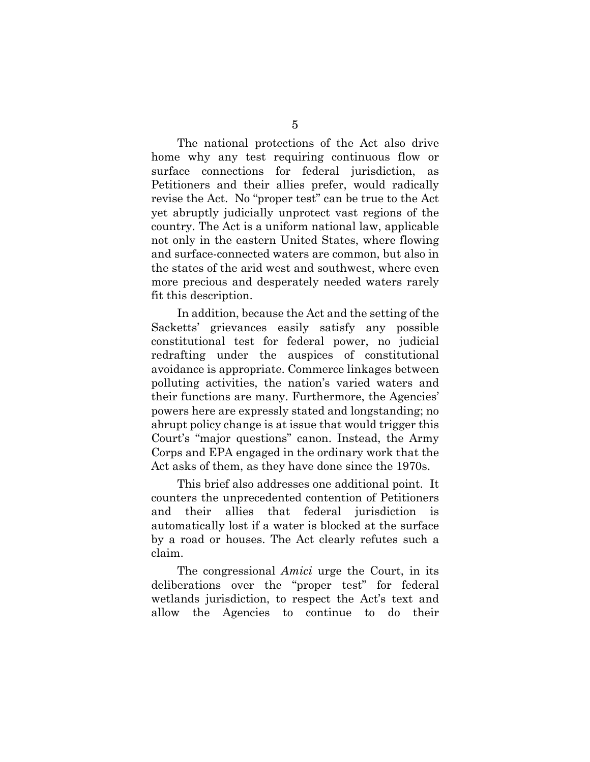The national protections of the Act also drive home why any test requiring continuous flow or surface connections for federal jurisdiction, as Petitioners and their allies prefer, would radically revise the Act. No "proper test" can be true to the Act yet abruptly judicially unprotect vast regions of the country. The Act is a uniform national law, applicable not only in the eastern United States, where flowing and surface-connected waters are common, but also in the states of the arid west and southwest, where even more precious and desperately needed waters rarely fit this description.

In addition, because the Act and the setting of the Sacketts' grievances easily satisfy any possible constitutional test for federal power, no judicial redrafting under the auspices of constitutional avoidance is appropriate. Commerce linkages between polluting activities, the nation's varied waters and their functions are many. Furthermore, the Agencies' powers here are expressly stated and longstanding; no abrupt policy change is at issue that would trigger this Court's "major questions" canon. Instead, the Army Corps and EPA engaged in the ordinary work that the Act asks of them, as they have done since the 1970s.

This brief also addresses one additional point. It counters the unprecedented contention of Petitioners and their allies that federal jurisdiction is automatically lost if a water is blocked at the surface by a road or houses. The Act clearly refutes such a claim.

The congressional *Amici* urge the Court, in its deliberations over the "proper test" for federal wetlands jurisdiction, to respect the Act's text and allow the Agencies to continue to do their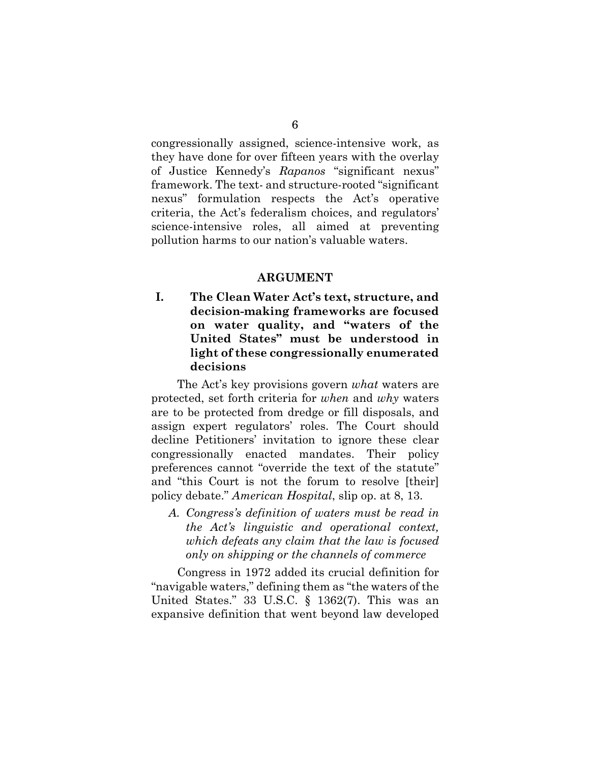congressionally assigned, science-intensive work, as they have done for over fifteen years with the overlay of Justice Kennedy's *Rapanos* "significant nexus" framework. The text- and structure-rooted "significant nexus" formulation respects the Act's operative criteria, the Act's federalism choices, and regulators' science-intensive roles, all aimed at preventing pollution harms to our nation's valuable waters.

#### **ARGUMENT**

**I. The Clean Water Act's text, structure, and decision-making frameworks are focused on water quality, and "waters of the United States" must be understood in light of these congressionally enumerated decisions** 

The Act's key provisions govern *what* waters are protected, set forth criteria for *when* and *why* waters are to be protected from dredge or fill disposals, and assign expert regulators' roles. The Court should decline Petitioners' invitation to ignore these clear congressionally enacted mandates. Their policy preferences cannot "override the text of the statute" and "this Court is not the forum to resolve [their] policy debate." *American Hospital*, slip op. at 8, 13.

*A. Congress's definition of waters must be read in the Act's linguistic and operational context, which defeats any claim that the law is focused only on shipping or the channels of commerce*

Congress in 1972 added its crucial definition for "navigable waters," defining them as "the waters of the United States." 33 U.S.C. § 1362(7). This was an expansive definition that went beyond law developed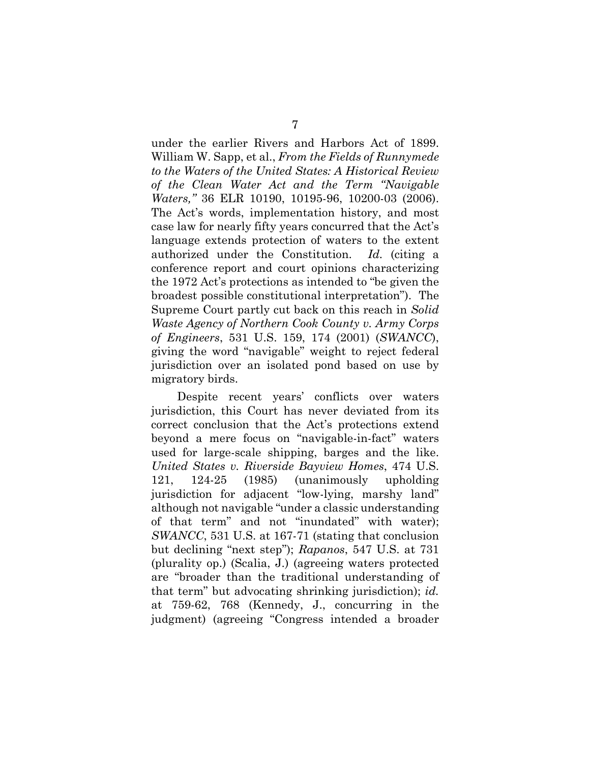under the earlier Rivers and Harbors Act of 1899. William W. Sapp, et al., *From the Fields of Runnymede to the Waters of the United States: A Historical Review of the Clean Water Act and the Term "Navigable Waters,"* 36 ELR 10190, 10195-96, 10200-03 (2006). The Act's words, implementation history, and most case law for nearly fifty years concurred that the Act's language extends protection of waters to the extent authorized under the Constitution. *Id.* (citing a conference report and court opinions characterizing the 1972 Act's protections as intended to "be given the broadest possible constitutional interpretation"). The Supreme Court partly cut back on this reach in *Solid Waste Agency of Northern Cook County v. Army Corps of Engineers*, 531 U.S. 159, 174 (2001) (*SWANCC*), giving the word "navigable" weight to reject federal jurisdiction over an isolated pond based on use by migratory birds.

Despite recent years' conflicts over waters jurisdiction, this Court has never deviated from its correct conclusion that the Act's protections extend beyond a mere focus on "navigable-in-fact" waters used for large-scale shipping, barges and the like. *United States v. Riverside Bayview Homes*, 474 U.S. 121, 124-25 (1985) (unanimously upholding jurisdiction for adjacent "low-lying, marshy land" although not navigable "under a classic understanding of that term" and not "inundated" with water); *SWANCC*, 531 U.S. at 167-71 (stating that conclusion but declining "next step"); *Rapanos*, 547 U.S. at 731 (plurality op.) (Scalia, J.) (agreeing waters protected are "broader than the traditional understanding of that term" but advocating shrinking jurisdiction); *id.* at 759-62, 768 (Kennedy, J., concurring in the judgment) (agreeing "Congress intended a broader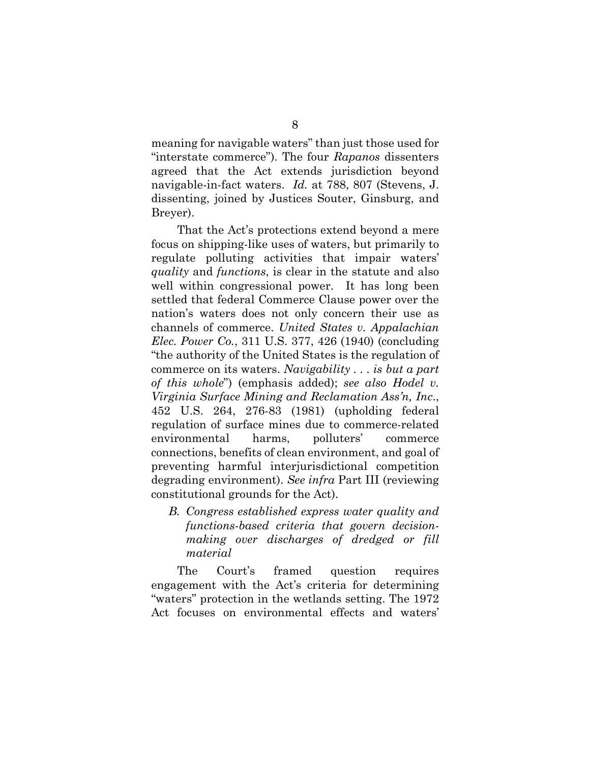meaning for navigable waters" than just those used for "interstate commerce"). The four *Rapanos* dissenters agreed that the Act extends jurisdiction beyond navigable-in-fact waters. *Id.* at 788, 807 (Stevens, J. dissenting, joined by Justices Souter, Ginsburg, and Breyer).

That the Act's protections extend beyond a mere focus on shipping-like uses of waters, but primarily to regulate polluting activities that impair waters' *quality* and *functions*, is clear in the statute and also well within congressional power. It has long been settled that federal Commerce Clause power over the nation's waters does not only concern their use as channels of commerce. *United States v. Appalachian Elec. Power Co.*, 311 U.S. 377, 426 (1940) (concluding "the authority of the United States is the regulation of commerce on its waters. *Navigability . . . is but a part of this whole*") (emphasis added); *see also Hodel v. Virginia Surface Mining and Reclamation Ass'n, Inc*., 452 U.S. 264, 276-83 (1981) (upholding federal regulation of surface mines due to commerce-related environmental harms, polluters' commerce connections, benefits of clean environment, and goal of preventing harmful interjurisdictional competition degrading environment). *See infra* Part III (reviewing constitutional grounds for the Act).

*B. Congress established express water quality and functions-based criteria that govern decisionmaking over discharges of dredged or fill material*

The Court's framed question requires engagement with the Act's criteria for determining "waters" protection in the wetlands setting. The 1972 Act focuses on environmental effects and waters'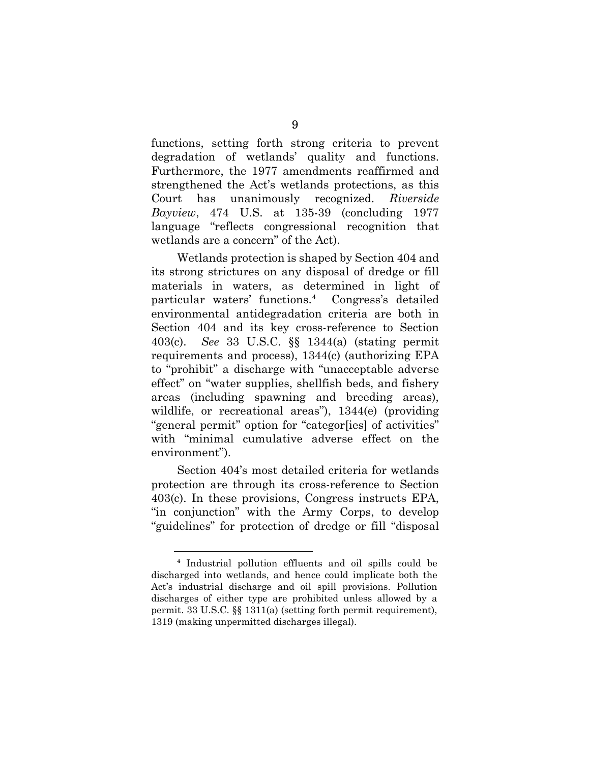functions, setting forth strong criteria to prevent degradation of wetlands' quality and functions. Furthermore, the 1977 amendments reaffirmed and strengthened the Act's wetlands protections, as this Court has unanimously recognized. *Riverside Bayview*, 474 U.S. at 135-39 (concluding 1977 language "reflects congressional recognition that wetlands are a concern" of the Act).

Wetlands protection is shaped by Section 404 and its strong strictures on any disposal of dredge or fill materials in waters, as determined in light of particular waters' functions.[4](#page-18-0) Congress's detailed environmental antidegradation criteria are both in Section 404 and its key cross-reference to Section 403(c). *See* 33 U.S.C. §§ 1344(a) (stating permit requirements and process), 1344(c) (authorizing EPA to "prohibit" a discharge with "unacceptable adverse effect" on "water supplies, shellfish beds, and fishery areas (including spawning and breeding areas), wildlife, or recreational areas"), 1344(e) (providing "general permit" option for "categor[ies] of activities" with "minimal cumulative adverse effect on the environment").

Section 404's most detailed criteria for wetlands protection are through its cross-reference to Section 403(c). In these provisions, Congress instructs EPA, "in conjunction" with the Army Corps, to develop "guidelines" for protection of dredge or fill "disposal

<span id="page-18-0"></span><sup>4</sup> Industrial pollution effluents and oil spills could be discharged into wetlands, and hence could implicate both the Act's industrial discharge and oil spill provisions. Pollution discharges of either type are prohibited unless allowed by a permit. 33 U.S.C. §§ 1311(a) (setting forth permit requirement), 1319 (making unpermitted discharges illegal).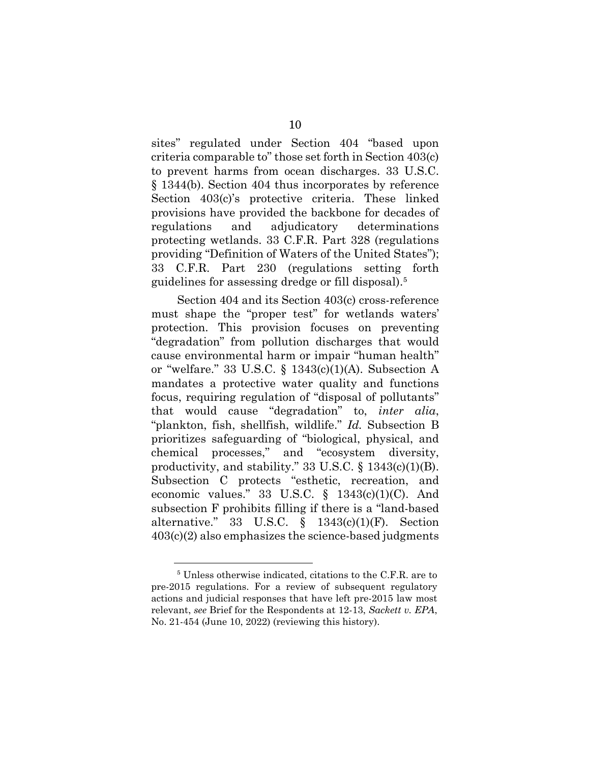sites" regulated under Section 404 "based upon criteria comparable to" those set forth in Section 403(c) to prevent harms from ocean discharges. 33 U.S.C. § 1344(b). Section 404 thus incorporates by reference Section 403(c)'s protective criteria. These linked provisions have provided the backbone for decades of regulations and adjudicatory determinations protecting wetlands. 33 C.F.R. Part 328 (regulations providing "Definition of Waters of the United States"); 33 C.F.R. Part 230 (regulations setting forth guidelines for assessing dredge or fill disposal).<sup>[5](#page-19-0)</sup>

Section 404 and its Section 403(c) cross-reference must shape the "proper test" for wetlands waters' protection. This provision focuses on preventing "degradation" from pollution discharges that would cause environmental harm or impair "human health" or "welfare." 33 U.S.C.  $\S$  1343(c)(1)(A). Subsection A mandates a protective water quality and functions focus, requiring regulation of "disposal of pollutants" that would cause "degradation" to, *inter alia*, "plankton, fish, shellfish, wildlife." *Id.* Subsection B prioritizes safeguarding of "biological, physical, and chemical processes," and "ecosystem diversity, productivity, and stability." 33 U.S.C. § 1343(c)(1)(B). Subsection C protects "esthetic, recreation, and economic values." 33 U.S.C.  $\S$  1343(c)(1)(C). And subsection F prohibits filling if there is a "land-based alternative." 33 U.S.C. § 1343(c)(1)(F). Section 403(c)(2) also emphasizes the science-based judgments

<span id="page-19-0"></span><sup>5</sup> Unless otherwise indicated, citations to the C.F.R. are to pre-2015 regulations. For a review of subsequent regulatory actions and judicial responses that have left pre-2015 law most relevant, *see* Brief for the Respondents at 12-13, *Sackett v. EPA*, No. 21-454 (June 10, 2022) (reviewing this history).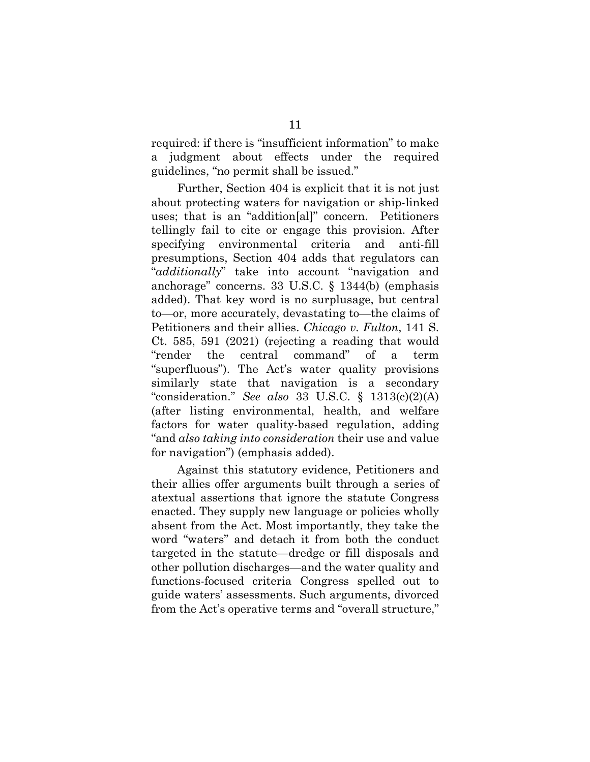required: if there is "insufficient information" to make a judgment about effects under the required guidelines, "no permit shall be issued."

Further, Section 404 is explicit that it is not just about protecting waters for navigation or ship-linked uses; that is an "addition[al]" concern. Petitioners tellingly fail to cite or engage this provision. After specifying environmental criteria and anti-fill presumptions, Section 404 adds that regulators can "*additionally*" take into account "navigation and anchorage" concerns. 33 U.S.C. § 1344(b) (emphasis added). That key word is no surplusage, but central to—or, more accurately, devastating to—the claims of Petitioners and their allies. *Chicago v. Fulton*, 141 S. Ct. 585, 591 (2021) (rejecting a reading that would "render the central command" of a term "superfluous"). The Act's water quality provisions similarly state that navigation is a secondary "consideration." *See also* 33 U.S.C. § 1313(c)(2)(A) (after listing environmental, health, and welfare factors for water quality-based regulation, adding "and *also taking into consideration* their use and value for navigation") (emphasis added).

Against this statutory evidence, Petitioners and their allies offer arguments built through a series of atextual assertions that ignore the statute Congress enacted. They supply new language or policies wholly absent from the Act. Most importantly, they take the word "waters" and detach it from both the conduct targeted in the statute—dredge or fill disposals and other pollution discharges—and the water quality and functions-focused criteria Congress spelled out to guide waters' assessments. Such arguments, divorced from the Act's operative terms and "overall structure,"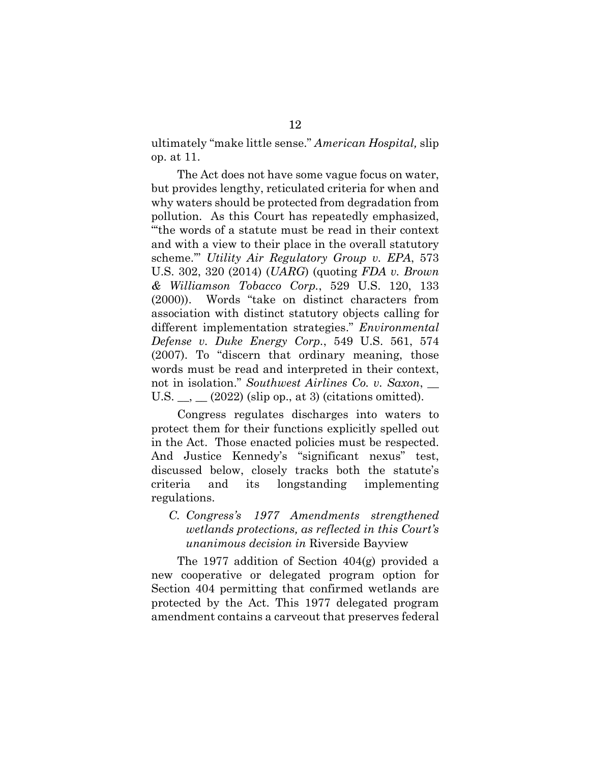ultimately "make little sense." *American Hospital,* slip op. at 11.

The Act does not have some vague focus on water, but provides lengthy, reticulated criteria for when and why waters should be protected from degradation from pollution. As this Court has repeatedly emphasized, "'the words of a statute must be read in their context and with a view to their place in the overall statutory scheme.'" *Utility Air Regulatory Group v. EPA*, 573 U.S. 302, 320 (2014) (*UARG*) (quoting *FDA v. Brown & Williamson Tobacco Corp.*, 529 U.S. 120, 133 (2000)). Words "take on distinct characters from association with distinct statutory objects calling for different implementation strategies." *Environmental Defense v. Duke Energy Corp.*, 549 U.S. 561, 574 (2007). To "discern that ordinary meaning, those words must be read and interpreted in their context, not in isolation." *Southwest Airlines Co. v. Saxon*, \_\_ U.S.  $\_\_$   $(2022)$  (slip op., at 3) (citations omitted).

Congress regulates discharges into waters to protect them for their functions explicitly spelled out in the Act. Those enacted policies must be respected. And Justice Kennedy's "significant nexus" test, discussed below, closely tracks both the statute's criteria and its longstanding implementing regulations.

## *C. Congress's 1977 Amendments strengthened wetlands protections, as reflected in this Court's unanimous decision in* Riverside Bayview

The 1977 addition of Section 404(g) provided a new cooperative or delegated program option for Section 404 permitting that confirmed wetlands are protected by the Act. This 1977 delegated program amendment contains a carveout that preserves federal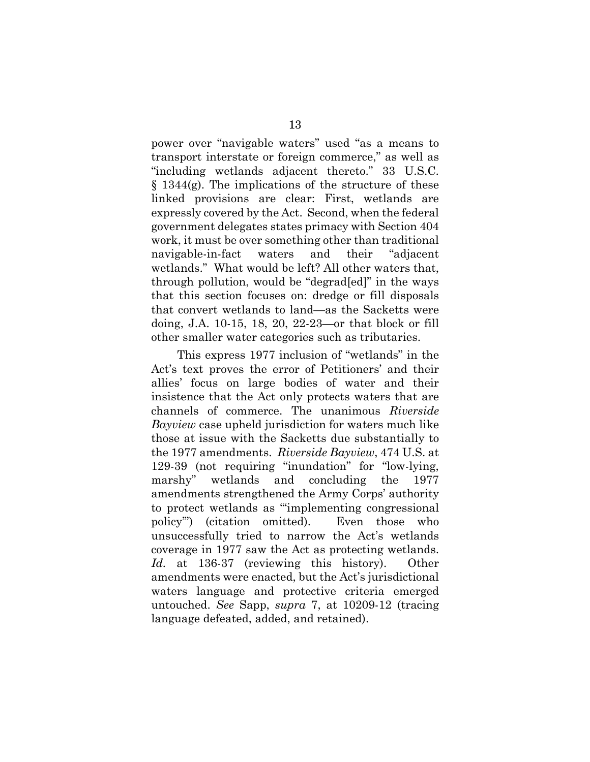power over "navigable waters" used "as a means to transport interstate or foreign commerce," as well as "including wetlands adjacent thereto." 33 U.S.C.  $§$  1344(g). The implications of the structure of these linked provisions are clear: First, wetlands are expressly covered by the Act. Second, when the federal government delegates states primacy with Section 404 work, it must be over something other than traditional navigable-in-fact waters and their "adjacent wetlands." What would be left? All other waters that, through pollution, would be "degrad[ed]" in the ways that this section focuses on: dredge or fill disposals that convert wetlands to land—as the Sacketts were doing, J.A. 10-15, 18, 20, 22-23—or that block or fill other smaller water categories such as tributaries.

This express 1977 inclusion of "wetlands" in the Act's text proves the error of Petitioners' and their allies' focus on large bodies of water and their insistence that the Act only protects waters that are channels of commerce. The unanimous *Riverside Bayview* case upheld jurisdiction for waters much like those at issue with the Sacketts due substantially to the 1977 amendments. *Riverside Bayview*, 474 U.S. at 129-39 (not requiring "inundation" for "low-lying, marshy" wetlands and concluding the 1977 amendments strengthened the Army Corps' authority to protect wetlands as "'implementing congressional policy'") (citation omitted). Even those who unsuccessfully tried to narrow the Act's wetlands coverage in 1977 saw the Act as protecting wetlands. *Id.* at 136-37 (reviewing this history). Other amendments were enacted, but the Act's jurisdictional waters language and protective criteria emerged untouched. *See* Sapp, *supra* 7, at 10209-12 (tracing language defeated, added, and retained).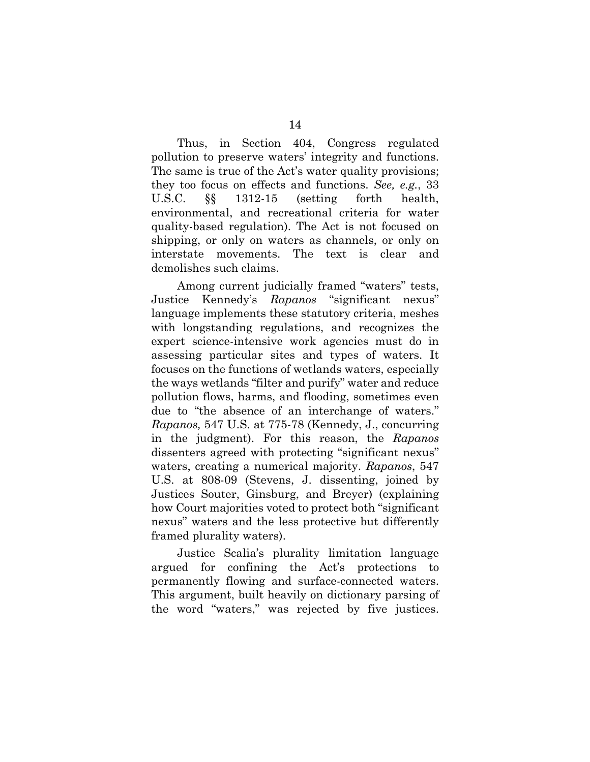Thus, in Section 404, Congress regulated pollution to preserve waters' integrity and functions. The same is true of the Act's water quality provisions; they too focus on effects and functions. *See, e.g.*, 33 U.S.C. §§ 1312-15 (setting forth health, environmental, and recreational criteria for water quality-based regulation). The Act is not focused on shipping, or only on waters as channels, or only on interstate movements. The text is clear and demolishes such claims.

Among current judicially framed "waters" tests, Justice Kennedy's *Rapanos* "significant nexus" language implements these statutory criteria, meshes with longstanding regulations, and recognizes the expert science-intensive work agencies must do in assessing particular sites and types of waters. It focuses on the functions of wetlands waters, especially the ways wetlands "filter and purify" water and reduce pollution flows, harms, and flooding, sometimes even due to "the absence of an interchange of waters." *Rapanos,* 547 U.S. at 775-78 (Kennedy, J., concurring in the judgment). For this reason, the *Rapanos* dissenters agreed with protecting "significant nexus" waters, creating a numerical majority. *Rapanos*, 547 U.S. at 808-09 (Stevens, J. dissenting, joined by Justices Souter, Ginsburg, and Breyer) (explaining how Court majorities voted to protect both "significant nexus" waters and the less protective but differently framed plurality waters).

Justice Scalia's plurality limitation language argued for confining the Act's protections to permanently flowing and surface-connected waters. This argument, built heavily on dictionary parsing of the word "waters," was rejected by five justices.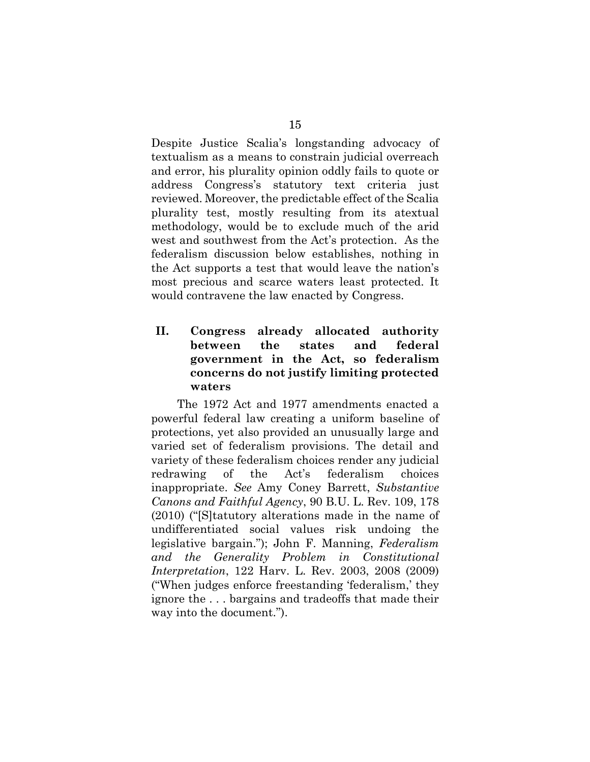Despite Justice Scalia's longstanding advocacy of textualism as a means to constrain judicial overreach and error, his plurality opinion oddly fails to quote or address Congress's statutory text criteria just reviewed. Moreover, the predictable effect of the Scalia plurality test, mostly resulting from its atextual methodology, would be to exclude much of the arid west and southwest from the Act's protection. As the federalism discussion below establishes, nothing in the Act supports a test that would leave the nation's most precious and scarce waters least protected. It would contravene the law enacted by Congress.

## **II. Congress already allocated authority between the states and federal government in the Act, so federalism concerns do not justify limiting protected waters**

The 1972 Act and 1977 amendments enacted a powerful federal law creating a uniform baseline of protections, yet also provided an unusually large and varied set of federalism provisions. The detail and variety of these federalism choices render any judicial redrawing of the Act's federalism choices inappropriate. *See* Amy Coney Barrett, *Substantive Canons and Faithful Agency*, 90 B.U. L. Rev. 109, 178 (2010) ("[S]tatutory alterations made in the name of undifferentiated social values risk undoing the legislative bargain."); John F. Manning, *Federalism and the Generality Problem in Constitutional Interpretation*, 122 Harv. L. Rev. 2003, 2008 (2009) ("When judges enforce freestanding 'federalism,' they ignore the . . . bargains and tradeoffs that made their way into the document.").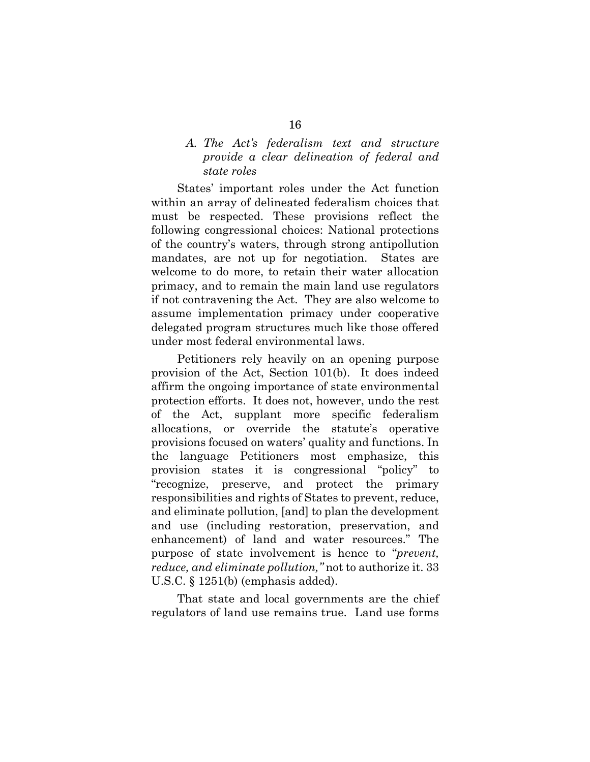### *A. The Act's federalism text and structure provide a clear delineation of federal and state roles*

States' important roles under the Act function within an array of delineated federalism choices that must be respected. These provisions reflect the following congressional choices: National protections of the country's waters, through strong antipollution mandates, are not up for negotiation. States are welcome to do more, to retain their water allocation primacy, and to remain the main land use regulators if not contravening the Act. They are also welcome to assume implementation primacy under cooperative delegated program structures much like those offered under most federal environmental laws.

Petitioners rely heavily on an opening purpose provision of the Act, Section 101(b). It does indeed affirm the ongoing importance of state environmental protection efforts. It does not, however, undo the rest of the Act, supplant more specific federalism allocations, or override the statute's operative provisions focused on waters' quality and functions. In the language Petitioners most emphasize, this provision states it is congressional "policy" to "recognize, preserve, and protect the primary responsibilities and rights of States to prevent, reduce, and eliminate pollution, [and] to plan the development and use (including restoration, preservation, and enhancement) of land and water resources." The purpose of state involvement is hence to "*prevent, reduce, and eliminate pollution,"* not to authorize it. 33 U.S.C. § 1251(b) (emphasis added).

That state and local governments are the chief regulators of land use remains true. Land use forms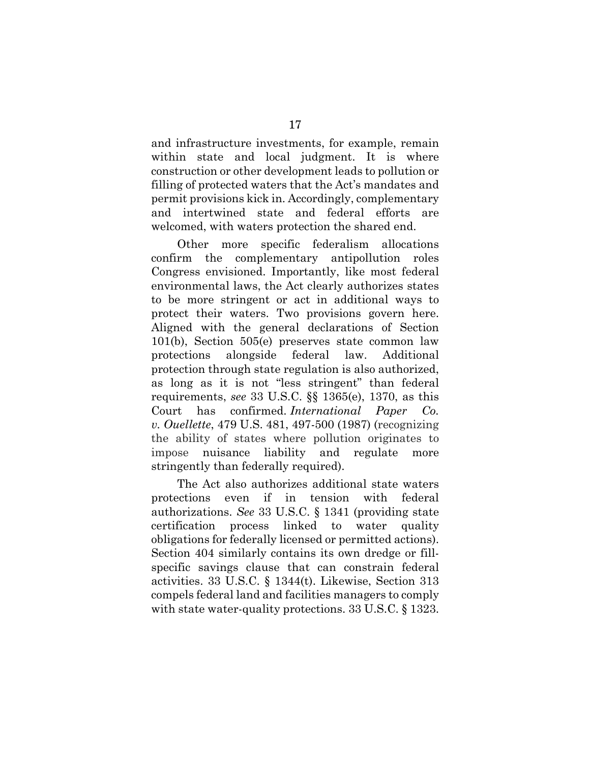and infrastructure investments, for example, remain within state and local judgment. It is where construction or other development leads to pollution or filling of protected waters that the Act's mandates and permit provisions kick in. Accordingly, complementary and intertwined state and federal efforts are welcomed, with waters protection the shared end.

Other more specific federalism allocations confirm the complementary antipollution roles Congress envisioned. Importantly, like most federal environmental laws, the Act clearly authorizes states to be more stringent or act in additional ways to protect their waters. Two provisions govern here. Aligned with the general declarations of Section 101(b), Section 505(e) preserves state common law protections alongside federal law. Additional protection through state regulation is also authorized, as long as it is not "less stringent" than federal requirements, *see* 33 U.S.C. §§ 1365(e), 1370, as this Court has confirmed. *International Paper Co. v. Ouellette*, 479 U.S. 481, 497-500 (1987) (recognizing the ability of states where pollution originates to impose nuisance liability and regulate more stringently than federally required).

The Act also authorizes additional state waters protections even if in tension with federal authorizations. *See* 33 U.S.C. § 1341 (providing state certification process linked to water quality obligations for federally licensed or permitted actions). Section 404 similarly contains its own dredge or fillspecific savings clause that can constrain federal activities. 33 U.S.C. § 1344(t). Likewise, Section 313 compels federal land and facilities managers to comply with state water-quality protections. 33 U.S.C. § 1323.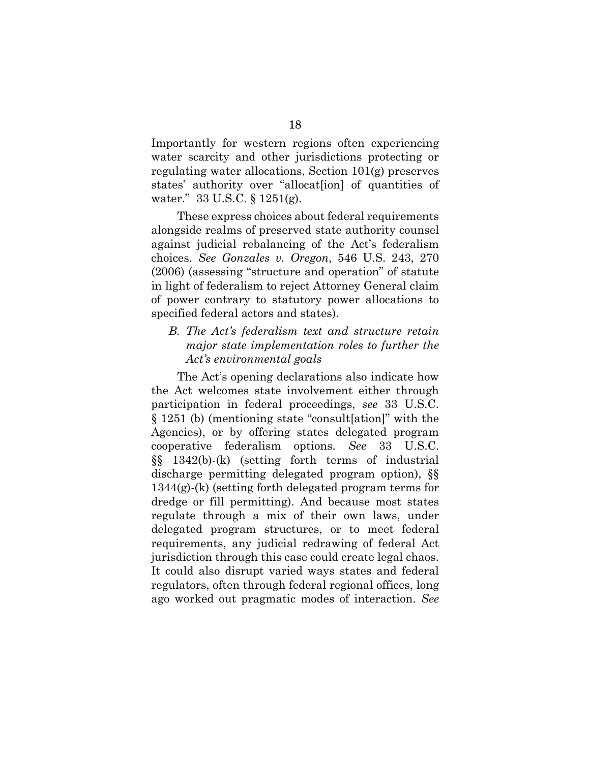Importantly for western regions often experiencing water scarcity and other jurisdictions protecting or regulating water allocations, Section 101(g) preserves states' authority over "allocat[ion] of quantities of water." 33 U.S.C. § 1251(g).

These express choices about federal requirements alongside realms of preserved state authority counsel against judicial rebalancing of the Act's federalism choices. *See Gonzales v. Oregon*, 546 U.S. 243, 270 (2006) (assessing "structure and operation" of statute in light of federalism to reject Attorney General claim of power contrary to statutory power allocations to specified federal actors and states).

## *B. The Act's federalism text and structure retain major state implementation roles to further the Act's environmental goals*

The Act's opening declarations also indicate how the Act welcomes state involvement either through participation in federal proceedings, *see* 33 U.S.C. § 1251 (b) (mentioning state "consult[ation]" with the Agencies), or by offering states delegated program cooperative federalism options. *See* 33 U.S.C. §§ 1342(b)-(k) (setting forth terms of industrial discharge permitting delegated program option), §§ 1344(g)-(k) (setting forth delegated program terms for dredge or fill permitting). And because most states regulate through a mix of their own laws, under delegated program structures, or to meet federal requirements, any judicial redrawing of federal Act jurisdiction through this case could create legal chaos. It could also disrupt varied ways states and federal regulators, often through federal regional offices, long ago worked out pragmatic modes of interaction. *See*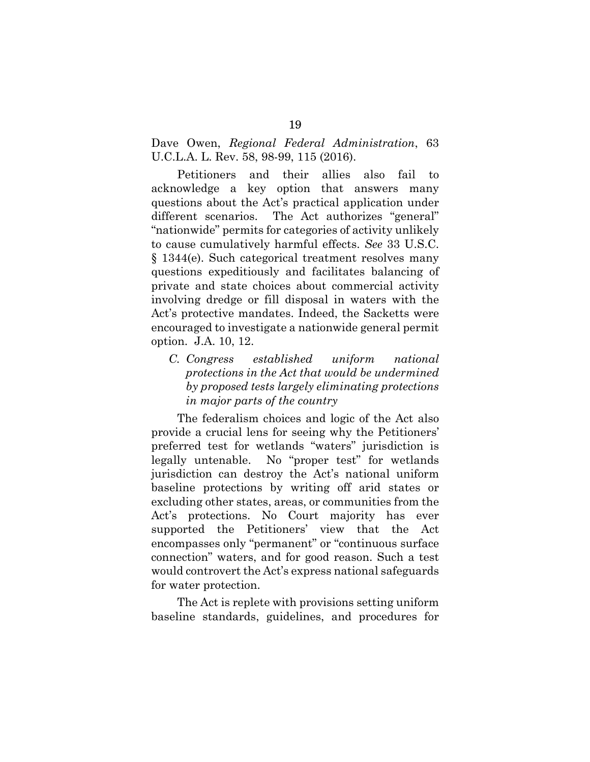## Dave Owen, *Regional Federal Administration*, 63 U.C.L.A. L. Rev. 58, 98-99, 115 (2016).

Petitioners and their allies also fail to acknowledge a key option that answers many questions about the Act's practical application under different scenarios. The Act authorizes "general" "nationwide" permits for categories of activity unlikely to cause cumulatively harmful effects. *See* 33 U.S.C. § 1344(e). Such categorical treatment resolves many questions expeditiously and facilitates balancing of private and state choices about commercial activity involving dredge or fill disposal in waters with the Act's protective mandates. Indeed, the Sacketts were encouraged to investigate a nationwide general permit option. J.A. 10, 12.

*C. Congress established uniform national protections in the Act that would be undermined by proposed tests largely eliminating protections in major parts of the country* 

The federalism choices and logic of the Act also provide a crucial lens for seeing why the Petitioners' preferred test for wetlands "waters" jurisdiction is legally untenable. No "proper test" for wetlands jurisdiction can destroy the Act's national uniform baseline protections by writing off arid states or excluding other states, areas, or communities from the Act's protections. No Court majority has ever supported the Petitioners' view that the Act encompasses only "permanent" or "continuous surface connection" waters, and for good reason. Such a test would controvert the Act's express national safeguards for water protection.

The Act is replete with provisions setting uniform baseline standards, guidelines, and procedures for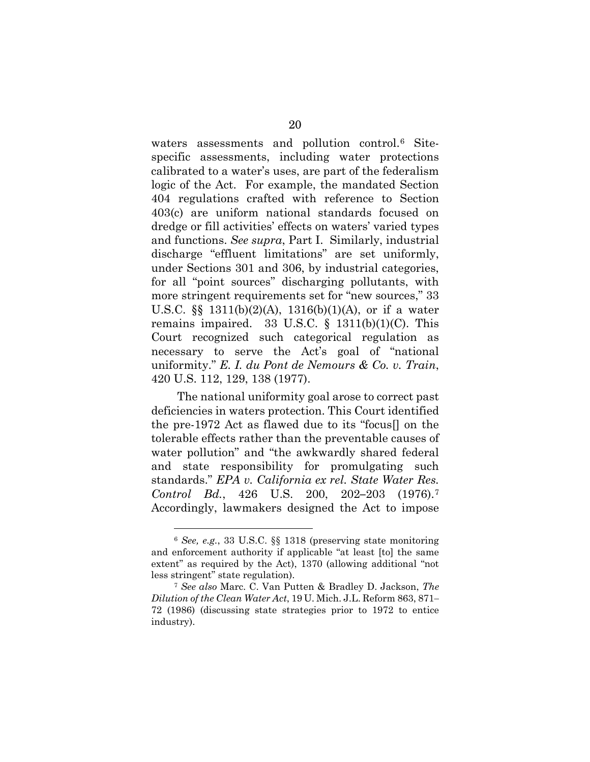waters assessments and pollution control.<sup>6</sup> Sitespecific assessments, including water protections calibrated to a water's uses, are part of the federalism logic of the Act. For example, the mandated Section 404 regulations crafted with reference to Section 403(c) are uniform national standards focused on dredge or fill activities' effects on waters' varied types and functions. *See supra*, Part I. Similarly, industrial discharge "effluent limitations" are set uniformly, under Sections 301 and 306, by industrial categories, for all "point sources" discharging pollutants, with more stringent requirements set for "new sources," 33 U.S.C. §§ 1311(b)(2)(A), 1316(b)(1)(A), or if a water remains impaired. 33 U.S.C.  $\S$  1311(b)(1)(C). This Court recognized such categorical regulation as necessary to serve the Act's goal of "national uniformity." *E. I. du Pont de Nemours & Co. v. Train*, 420 U.S. 112, 129, 138 (1977).

The national uniformity goal arose to correct past deficiencies in waters protection. This Court identified the pre-1972 Act as flawed due to its "focus[] on the tolerable effects rather than the preventable causes of water pollution" and "the awkwardly shared federal and state responsibility for promulgating such standards." *EPA v. California ex rel. State Water Res. Control Bd.*, 426 U.S. 200, 202**–**203 (1976).[7](#page-29-1) Accordingly, lawmakers designed the Act to impose

<span id="page-29-0"></span><sup>6</sup> *See, e.g.*, 33 U.S.C. §§ 1318 (preserving state monitoring and enforcement authority if applicable "at least [to] the same extent" as required by the Act), 1370 (allowing additional "not less stringent" state regulation).

<span id="page-29-1"></span><sup>7</sup> *See also* Marc. C. Van Putten & Bradley D. Jackson, *The Dilution of the Clean Water Act*, 19 U. Mich. J.L. Reform 863, 871**–** 72 (1986) (discussing state strategies prior to 1972 to entice industry).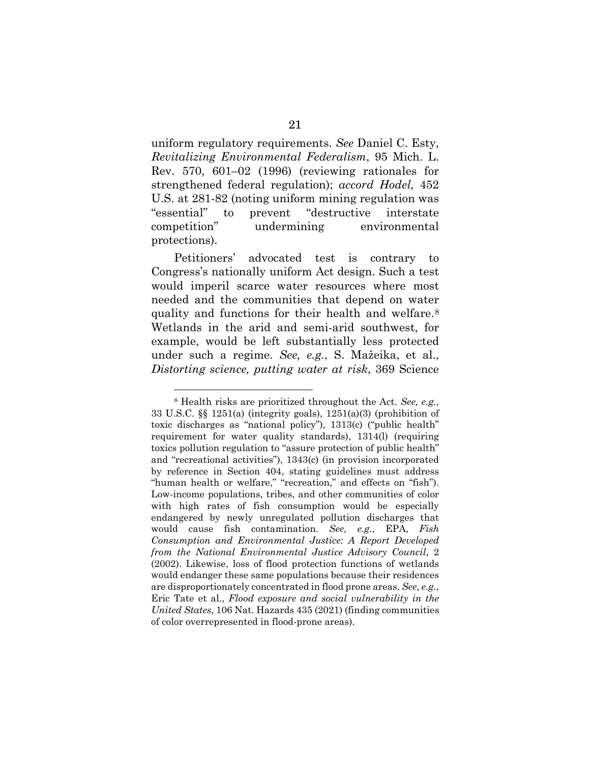uniform regulatory requirements. *See* Daniel C. Esty, *Revitalizing Environmental Federalism*, 95 Mich. L. Rev. 570, 601–02 (1996) (reviewing rationales for strengthened federal regulation); *accord Hodel,* 452 U.S. at 281-82 (noting uniform mining regulation was "essential" to prevent "destructive interstate competition" undermining environmental protections).

Petitioners' advocated test is contrary to Congress's nationally uniform Act design. Such a test would imperil scarce water resources where most needed and the communities that depend on water quality and functions for their health and welfare.[8](#page-30-0)  Wetlands in the arid and semi-arid southwest, for example, would be left substantially less protected under such a regime. *See, e.g.*, S. Mažeika, et al., *Distorting science, putting water at risk*, 369 Science

<span id="page-30-0"></span><sup>8</sup> Health risks are prioritized throughout the Act. *See, e.g.*, 33 U.S.C. §§ 1251(a) (integrity goals), 1251(a)(3) (prohibition of toxic discharges as "national policy"), 1313(c) ("public health" requirement for water quality standards), 1314(l) (requiring toxics pollution regulation to "assure protection of public health" and "recreational activities"), 1343(c) (in provision incorporated by reference in Section 404, stating guidelines must address "human health or welfare," "recreation," and effects on "fish"). Low-income populations, tribes, and other communities of color with high rates of fish consumption would be especially endangered by newly unregulated pollution discharges that would cause fish contamination. *See, e.g.*, EPA, *Fish Consumption and Environmental Justice: A Report Developed from the National Environmental Justice Advisory Council*, 2 (2002). Likewise, loss of flood protection functions of wetlands would endanger these same populations because their residences are disproportionately concentrated in flood prone areas. *See, e.g.*, Eric Tate et al., *Flood exposure and social vulnerability in the United States*, 106 Nat. Hazards 435 (2021) (finding communities of color overrepresented in flood-prone areas).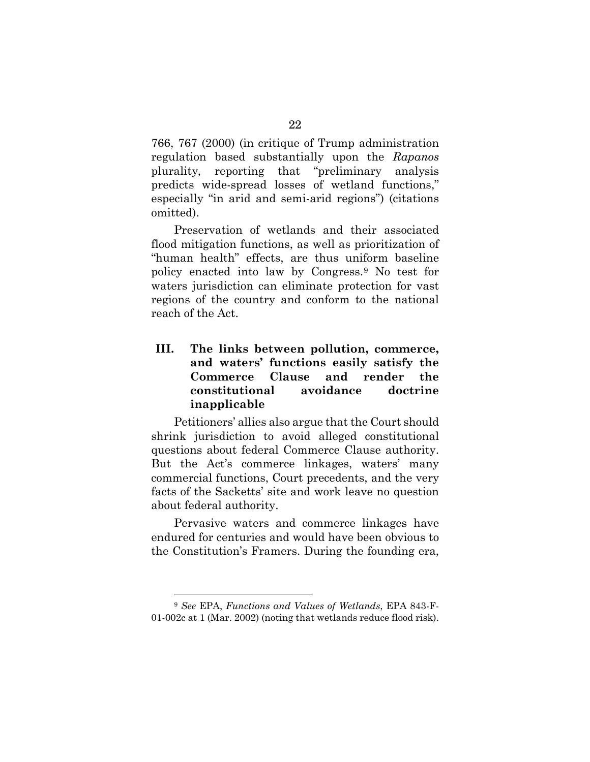766, 767 (2000) (in critique of Trump administration regulation based substantially upon the *Rapanos* plurality*,* reporting that "preliminary analysis predicts wide-spread losses of wetland functions," especially "in arid and semi-arid regions") (citations omitted).

Preservation of wetlands and their associated flood mitigation functions, as well as prioritization of "human health" effects, are thus uniform baseline policy enacted into law by Congress.[9](#page-31-0) No test for waters jurisdiction can eliminate protection for vast regions of the country and conform to the national reach of the Act.

## **III. The links between pollution, commerce, and waters' functions easily satisfy the Commerce Clause and render the constitutional avoidance doctrine inapplicable**

Petitioners' allies also argue that the Court should shrink jurisdiction to avoid alleged constitutional questions about federal Commerce Clause authority. But the Act's commerce linkages, waters' many commercial functions, Court precedents, and the very facts of the Sacketts' site and work leave no question about federal authority.

Pervasive waters and commerce linkages have endured for centuries and would have been obvious to the Constitution's Framers. During the founding era,

<span id="page-31-0"></span><sup>9</sup> *See* EPA, *Functions and Values of Wetlands*, EPA 843-F-01-002c at 1 (Mar. 2002) (noting that wetlands reduce flood risk).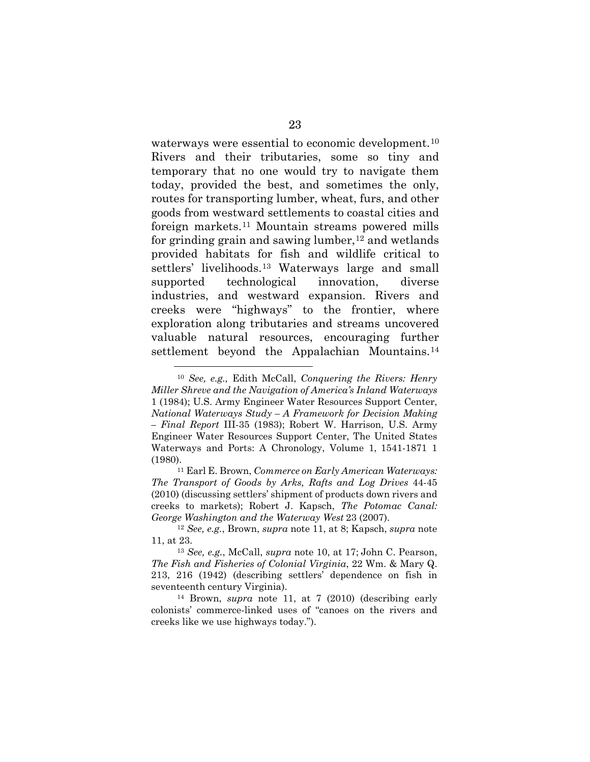waterways were essential to economic development.[10](#page-32-0) Rivers and their tributaries, some so tiny and temporary that no one would try to navigate them today, provided the best, and sometimes the only, routes for transporting lumber, wheat, furs, and other goods from westward settlements to coastal cities and foreign markets.[11](#page-32-1) Mountain streams powered mills for grinding grain and sawing lumber,  $12$  and wetlands provided habitats for fish and wildlife critical to settlers' livelihoods.[13](#page-32-3) Waterways large and small supported technological innovation, diverse industries, and westward expansion. Rivers and creeks were "highways" to the frontier, where exploration along tributaries and streams uncovered valuable natural resources, encouraging further settlement beyond the Appalachian Mountains.<sup>14</sup>

<span id="page-32-0"></span><sup>10</sup> *See, e.g.,* Edith McCall, *Conquering the Rivers: Henry Miller Shreve and the Navigation of America's Inland Waterways* 1 (1984); U.S. Army Engineer Water Resources Support Center, *National Waterways Study – A Framework for Decision Making – Final Report* III-35 (1983); Robert W. Harrison, U.S. Army Engineer Water Resources Support Center, The United States Waterways and Ports: A Chronology, Volume 1, 1541-1871 1 (1980).11 Earl E. Brown, *Commerce on Early American Waterways:* 

<span id="page-32-1"></span>*The Transport of Goods by Arks, Rafts and Log Drives* 44-45 (2010) (discussing settlers' shipment of products down rivers and creeks to markets); Robert J. Kapsch, *The Potomac Canal: George Washington and the Waterway West* 23 (2007).

<span id="page-32-2"></span><sup>12</sup> *See, e.g.*, Brown, *supra* note 11, at 8; Kapsch, *supra* note 11, at 23.

<span id="page-32-3"></span><sup>13</sup> *See, e.g.*, McCall, *supra* note 10, at 17; John C. Pearson, *The Fish and Fisheries of Colonial Virginia*, 22 Wm. & Mary Q. 213, 216 (1942) (describing settlers' dependence on fish in seventeenth century Virginia).

<span id="page-32-4"></span><sup>14</sup> Brown, *supra* note 11, at 7 (2010) (describing early colonists' commerce-linked uses of "canoes on the rivers and creeks like we use highways today.").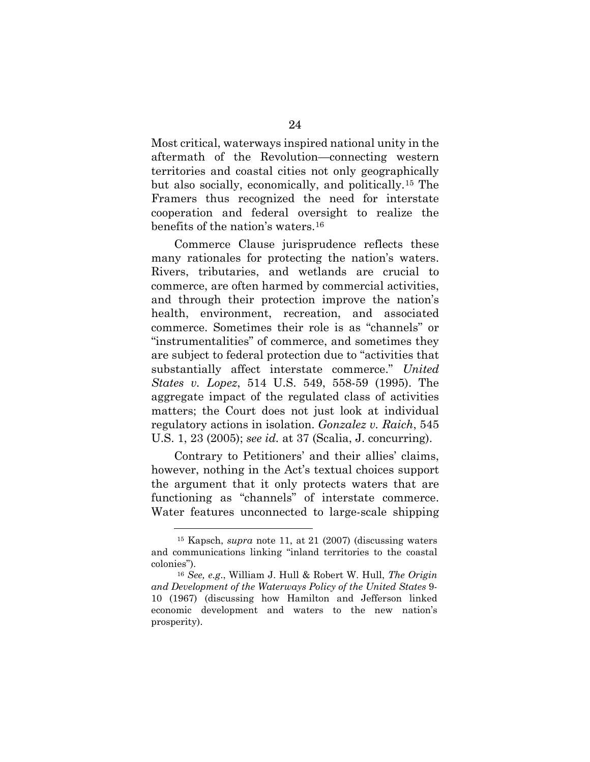Most critical, waterways inspired national unity in the aftermath of the Revolution—connecting western territories and coastal cities not only geographically but also socially, economically, and politically.[15](#page-33-0) The Framers thus recognized the need for interstate cooperation and federal oversight to realize the benefits of the nation's waters[.16](#page-33-1)

Commerce Clause jurisprudence reflects these many rationales for protecting the nation's waters. Rivers, tributaries, and wetlands are crucial to commerce, are often harmed by commercial activities, and through their protection improve the nation's health, environment, recreation, and associated commerce. Sometimes their role is as "channels" or "instrumentalities" of commerce, and sometimes they are subject to federal protection due to "activities that substantially affect interstate commerce." *United States v. Lopez*, 514 U.S. 549, 558-59 (1995). The aggregate impact of the regulated class of activities matters; the Court does not just look at individual regulatory actions in isolation. *Gonzalez v. Raich*, 545 U.S. 1, 23 (2005); *see id.* at 37 (Scalia, J. concurring).

Contrary to Petitioners' and their allies' claims, however, nothing in the Act's textual choices support the argument that it only protects waters that are functioning as "channels" of interstate commerce. Water features unconnected to large-scale shipping

<span id="page-33-0"></span><sup>15</sup> Kapsch, *supra* note 11, at 21 (2007) (discussing waters and communications linking "inland territories to the coastal colonies").

<span id="page-33-1"></span><sup>16</sup> *See, e.g*., William J. Hull & Robert W. Hull, *The Origin and Development of the Waterways Policy of the United States* 9- 10 (1967) (discussing how Hamilton and Jefferson linked economic development and waters to the new nation's prosperity).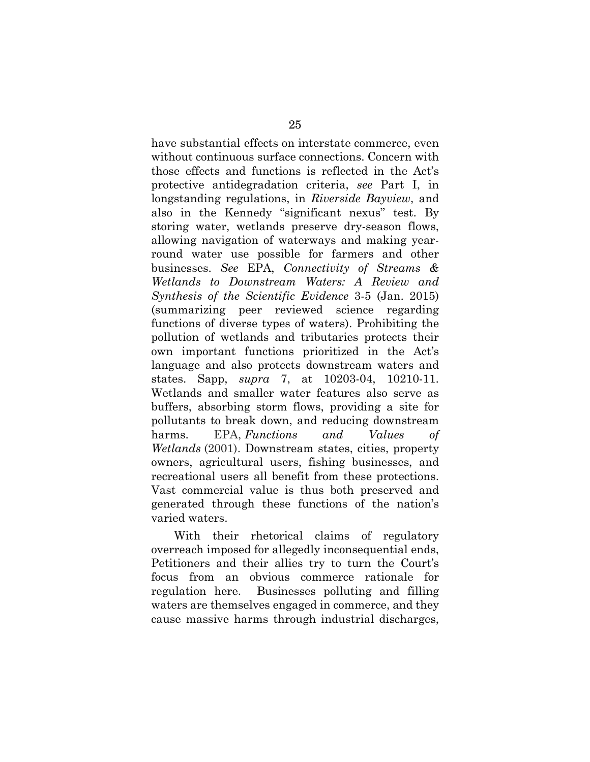have substantial effects on interstate commerce, even without continuous surface connections. Concern with those effects and functions is reflected in the Act's protective antidegradation criteria, *see* Part I, in longstanding regulations, in *Riverside Bayview*, and also in the Kennedy "significant nexus" test. By storing water, wetlands preserve dry-season flows, allowing navigation of waterways and making yearround water use possible for farmers and other businesses. *See* EPA, *Connectivity of Streams & Wetlands to Downstream Waters: A Review and Synthesis of the Scientific Evidence* 3-5 (Jan. 2015) (summarizing peer reviewed science regarding functions of diverse types of waters). Prohibiting the pollution of wetlands and tributaries protects their own important functions prioritized in the Act's language and also protects downstream waters and states. Sapp, *supra* 7, at 10203-04, 10210-11. Wetlands and smaller water features also serve as buffers, absorbing storm flows, providing a site for pollutants to break down, and reducing downstream harms. EPA, *Functions and Values of Wetlands* (2001). Downstream states, cities, property owners, agricultural users, fishing businesses, and recreational users all benefit from these protections. Vast commercial value is thus both preserved and generated through these functions of the nation's varied waters.

With their rhetorical claims of regulatory overreach imposed for allegedly inconsequential ends, Petitioners and their allies try to turn the Court's focus from an obvious commerce rationale for regulation here. Businesses polluting and filling waters are themselves engaged in commerce, and they cause massive harms through industrial discharges,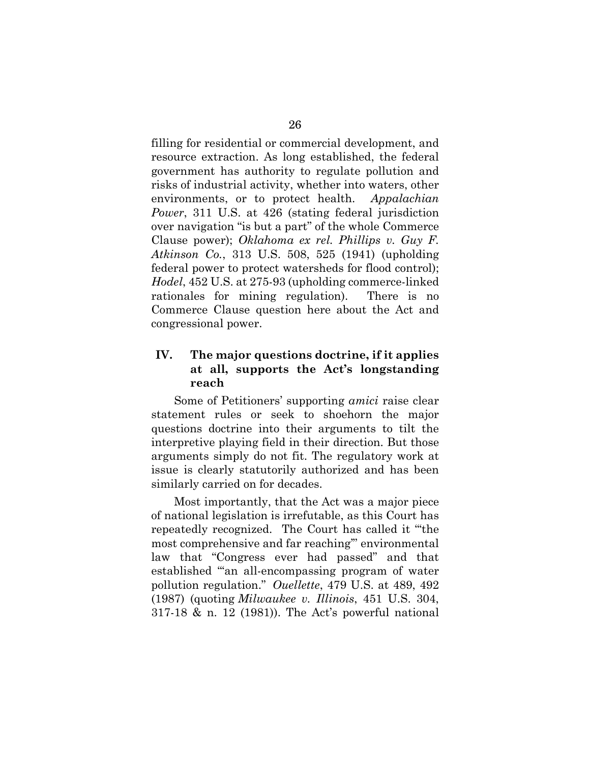filling for residential or commercial development, and resource extraction. As long established, the federal government has authority to regulate pollution and risks of industrial activity, whether into waters, other environments, or to protect health. *Appalachian Power*, 311 U.S. at 426 (stating federal jurisdiction over navigation "is but a part" of the whole Commerce Clause power); *Oklahoma ex rel. Phillips v. Guy F. Atkinson Co.*, 313 U.S. 508, 525 (1941) (upholding federal power to protect watersheds for flood control); *Hodel*, 452 U.S. at 275-93 (upholding commerce-linked rationales for mining regulation). There is no Commerce Clause question here about the Act and congressional power.

## **IV. The major questions doctrine, if it applies at all, supports the Act's longstanding reach**

Some of Petitioners' supporting *amici* raise clear statement rules or seek to shoehorn the major questions doctrine into their arguments to tilt the interpretive playing field in their direction. But those arguments simply do not fit. The regulatory work at issue is clearly statutorily authorized and has been similarly carried on for decades.

Most importantly, that the Act was a major piece of national legislation is irrefutable, as this Court has repeatedly recognized. The Court has called it "'the most comprehensive and far reaching'" environmental law that "Congress ever had passed" and that established "'an all-encompassing program of water pollution regulation." *Ouellette*, 479 U.S. at 489, 492 (1987) (quoting *Milwaukee v. Illinois*, 451 U.S. 304, 317-18 & n. 12 (1981)). The Act's powerful national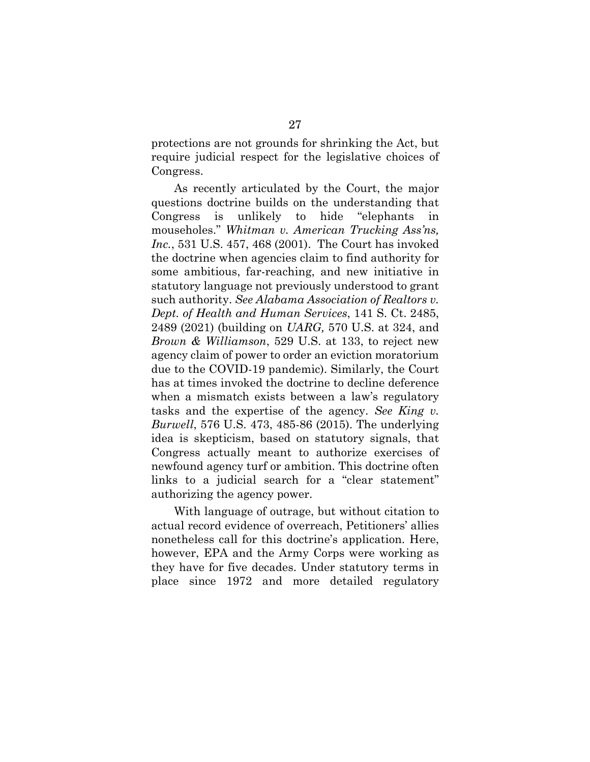protections are not grounds for shrinking the Act, but require judicial respect for the legislative choices of Congress.

As recently articulated by the Court, the major questions doctrine builds on the understanding that Congress is unlikely to hide "elephants in mouseholes." *Whitman v. American Trucking Ass'ns, Inc.*, 531 U.S. 457, 468 (2001). The Court has invoked the doctrine when agencies claim to find authority for some ambitious, far-reaching, and new initiative in statutory language not previously understood to grant such authority. *See Alabama Association of Realtors v. Dept. of Health and Human Services*, 141 S. Ct. 2485, 2489 (2021) (building on *UARG,* 570 U.S. at 324, and *Brown & Williamson*, 529 U.S. at 133, to reject new agency claim of power to order an eviction moratorium due to the COVID-19 pandemic). Similarly, the Court has at times invoked the doctrine to decline deference when a mismatch exists between a law's regulatory tasks and the expertise of the agency. *See King v. Burwell*, 576 U.S. 473, 485-86 (2015). The underlying idea is skepticism, based on statutory signals, that Congress actually meant to authorize exercises of newfound agency turf or ambition. This doctrine often links to a judicial search for a "clear statement" authorizing the agency power.

With language of outrage, but without citation to actual record evidence of overreach, Petitioners' allies nonetheless call for this doctrine's application. Here, however, EPA and the Army Corps were working as they have for five decades. Under statutory terms in place since 1972 and more detailed regulatory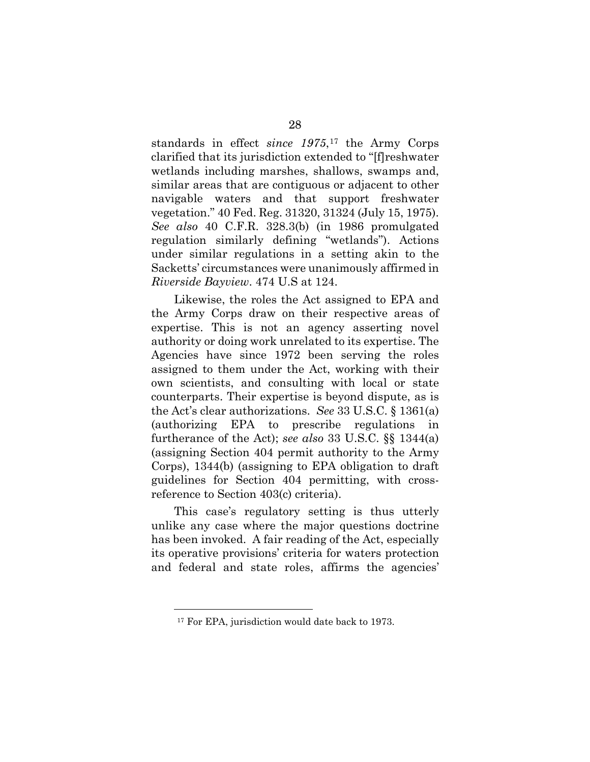standards in effect *since 1975*,[17](#page-37-0) the Army Corps clarified that its jurisdiction extended to "[f]reshwater wetlands including marshes, shallows, swamps and, similar areas that are contiguous or adjacent to other navigable waters and that support freshwater vegetation." 40 Fed. Reg. 31320, 31324 (July 15, 1975). *See also* 40 C.F.R. 328.3(b) (in 1986 promulgated regulation similarly defining "wetlands"). Actions under similar regulations in a setting akin to the Sacketts' circumstances were unanimously affirmed in *Riverside Bayview*. 474 U.S at 124.

Likewise, the roles the Act assigned to EPA and the Army Corps draw on their respective areas of expertise. This is not an agency asserting novel authority or doing work unrelated to its expertise. The Agencies have since 1972 been serving the roles assigned to them under the Act, working with their own scientists, and consulting with local or state counterparts. Their expertise is beyond dispute, as is the Act's clear authorizations. *See* 33 U.S.C. § 1361(a) (authorizing EPA to prescribe regulations in furtherance of the Act); *see also* 33 U.S.C. §§ 1344(a) (assigning Section 404 permit authority to the Army Corps), 1344(b) (assigning to EPA obligation to draft guidelines for Section 404 permitting, with crossreference to Section 403(c) criteria).

This case's regulatory setting is thus utterly unlike any case where the major questions doctrine has been invoked. A fair reading of the Act, especially its operative provisions' criteria for waters protection and federal and state roles, affirms the agencies'

<span id="page-37-0"></span><sup>&</sup>lt;sup>17</sup> For EPA, jurisdiction would date back to 1973.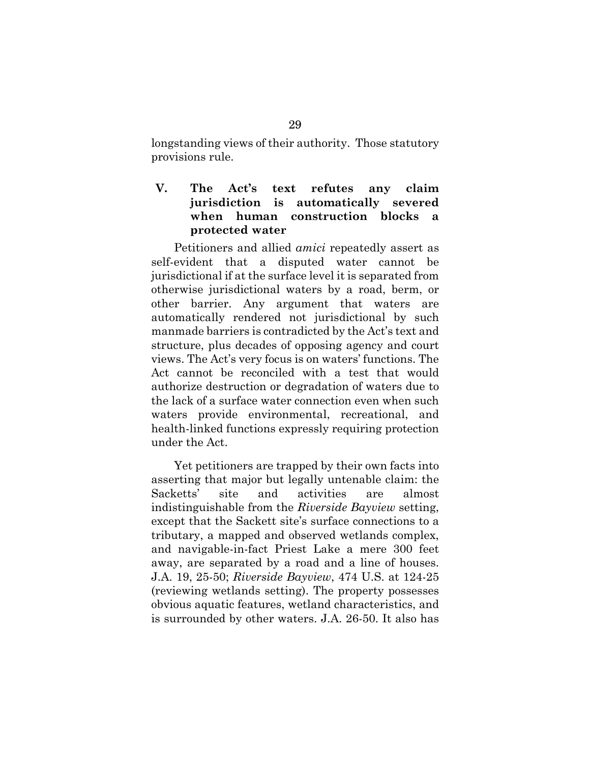longstanding views of their authority. Those statutory provisions rule.

## **V. The Act's text refutes any claim jurisdiction is automatically severed when human construction blocks a protected water**

Petitioners and allied *amici* repeatedly assert as self-evident that a disputed water cannot be jurisdictional if at the surface level it is separated from otherwise jurisdictional waters by a road, berm, or other barrier. Any argument that waters are automatically rendered not jurisdictional by such manmade barriers is contradicted by the Act's text and structure, plus decades of opposing agency and court views. The Act's very focus is on waters' functions. The Act cannot be reconciled with a test that would authorize destruction or degradation of waters due to the lack of a surface water connection even when such waters provide environmental, recreational, and health-linked functions expressly requiring protection under the Act.

Yet petitioners are trapped by their own facts into asserting that major but legally untenable claim: the Sacketts' site and activities are almost indistinguishable from the *Riverside Bayview* setting, except that the Sackett site's surface connections to a tributary, a mapped and observed wetlands complex, and navigable-in-fact Priest Lake a mere 300 feet away, are separated by a road and a line of houses. J.A. 19, 25-50; *Riverside Bayview*, 474 U.S. at 124-25 (reviewing wetlands setting). The property possesses obvious aquatic features, wetland characteristics, and is surrounded by other waters. J.A. 26-50. It also has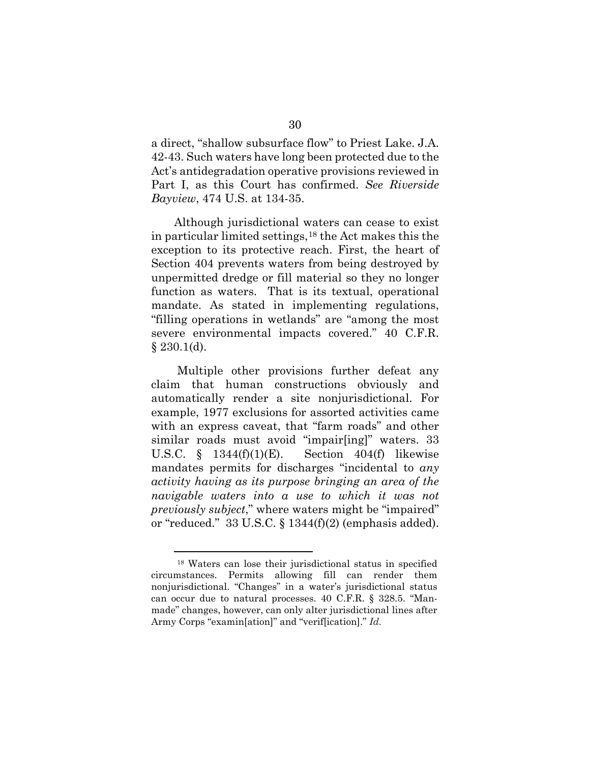a direct, "shallow subsurface flow" to Priest Lake. J.A. 42-43. Such waters have long been protected due to the Act's antidegradation operative provisions reviewed in Part I, as this Court has confirmed. *See Riverside Bayview*, 474 U.S. at 134-35.

Although jurisdictional waters can cease to exist in particular limited settings,[18](#page-39-0) the Act makes this the exception to its protective reach. First, the heart of Section 404 prevents waters from being destroyed by unpermitted dredge or fill material so they no longer function as waters. That is its textual, operational mandate. As stated in implementing regulations, "filling operations in wetlands" are "among the most severe environmental impacts covered." 40 C.F.R.  $§$  230.1(d).

 Multiple other provisions further defeat any claim that human constructions obviously and automatically render a site nonjurisdictional. For example, 1977 exclusions for assorted activities came with an express caveat, that "farm roads" and other similar roads must avoid "impair[ing]" waters. 33 U.S.C.  $\S$  1344(f)(1)(E). Section 404(f) likewise mandates permits for discharges "incidental to *any activity having as its purpose bringing an area of the navigable waters into a use to which it was not previously subject*," where waters might be "impaired" or "reduced."  $33 \text{ U.S.C.}$  §  $1344 \text{ (f)} (2)$  (emphasis added).

<span id="page-39-0"></span><sup>18</sup> Waters can lose their jurisdictional status in specified circumstances. Permits allowing fill can render them nonjurisdictional. "Changes" in a water's jurisdictional status can occur due to natural processes. 40 C.F.R. § 328.5. "Manmade" changes, however, can only alter jurisdictional lines after Army Corps "examin[ation]" and "verif[ication]." *Id.*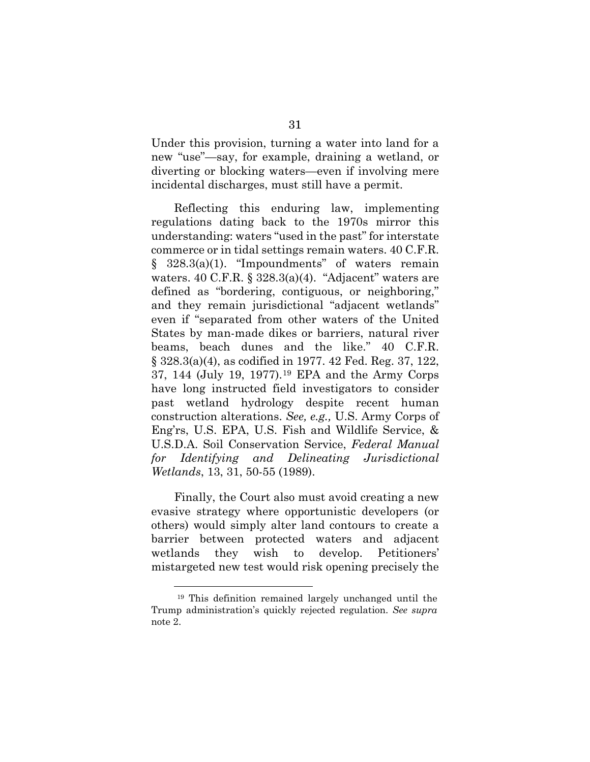Under this provision, turning a water into land for a new "use"—say, for example, draining a wetland, or diverting or blocking waters—even if involving mere incidental discharges, must still have a permit.

Reflecting this enduring law, implementing regulations dating back to the 1970s mirror this understanding: waters "used in the past" for interstate commerce or in tidal settings remain waters. 40 C.F.R. § 328.3(a)(1). "Impoundments" of waters remain waters.  $40 \text{ C.F.R. }$  §  $328.3(a)(4)$ . "Adjacent" waters are defined as "bordering, contiguous, or neighboring," and they remain jurisdictional "adjacent wetlands" even if "separated from other waters of the United States by man-made dikes or barriers, natural river beams, beach dunes and the like." 40 C.F.R. § 328.3(a)(4), as codified in 1977. 42 Fed. Reg. 37, 122, 37, 144 (July 19, 1977).[19](#page-40-0) EPA and the Army Corps have long instructed field investigators to consider past wetland hydrology despite recent human construction alterations. *See, e.g.,* U.S. Army Corps of Eng'rs, U.S. EPA, U.S. Fish and Wildlife Service, & U.S.D.A. Soil Conservation Service, *Federal Manual for Identifying and Delineating Jurisdictional Wetlands*, 13, 31, 50-55 (1989).

Finally, the Court also must avoid creating a new evasive strategy where opportunistic developers (or others) would simply alter land contours to create a barrier between protected waters and adjacent wetlands they wish to develop. Petitioners' mistargeted new test would risk opening precisely the

<span id="page-40-0"></span><sup>19</sup> This definition remained largely unchanged until the Trump administration's quickly rejected regulation. *See supra* note 2.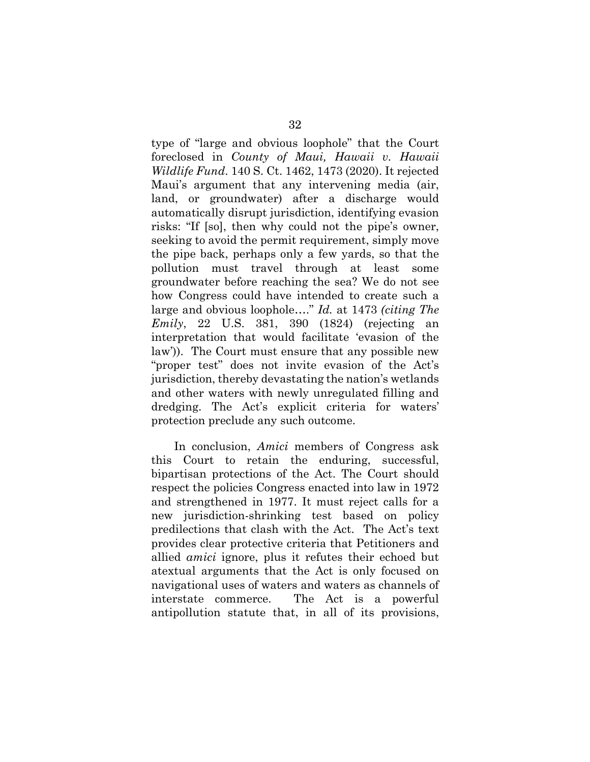type of "large and obvious loophole" that the Court foreclosed in *County of Maui, Hawaii v. Hawaii Wildlife Fund*. 140 S. Ct. 1462, 1473 (2020). It rejected Maui's argument that any intervening media (air, land, or groundwater) after a discharge would automatically disrupt jurisdiction, identifying evasion risks: "If [so], then why could not the pipe's owner, seeking to avoid the permit requirement, simply move the pipe back, perhaps only a few yards, so that the pollution must travel through at least some groundwater before reaching the sea? We do not see how Congress could have intended to create such a large and obvious loophole…." *Id.* at 1473 *(citing The Emily*, 22 U.S. 381, 390 (1824) (rejecting an interpretation that would facilitate 'evasion of the law')). The Court must ensure that any possible new "proper test" does not invite evasion of the Act's jurisdiction, thereby devastating the nation's wetlands and other waters with newly unregulated filling and dredging. The Act's explicit criteria for waters' protection preclude any such outcome.

In conclusion, *Amici* members of Congress ask this Court to retain the enduring, successful, bipartisan protections of the Act. The Court should respect the policies Congress enacted into law in 1972 and strengthened in 1977. It must reject calls for a new jurisdiction-shrinking test based on policy predilections that clash with the Act. The Act's text provides clear protective criteria that Petitioners and allied *amici* ignore, plus it refutes their echoed but atextual arguments that the Act is only focused on navigational uses of waters and waters as channels of interstate commerce. The Act is a powerful antipollution statute that, in all of its provisions,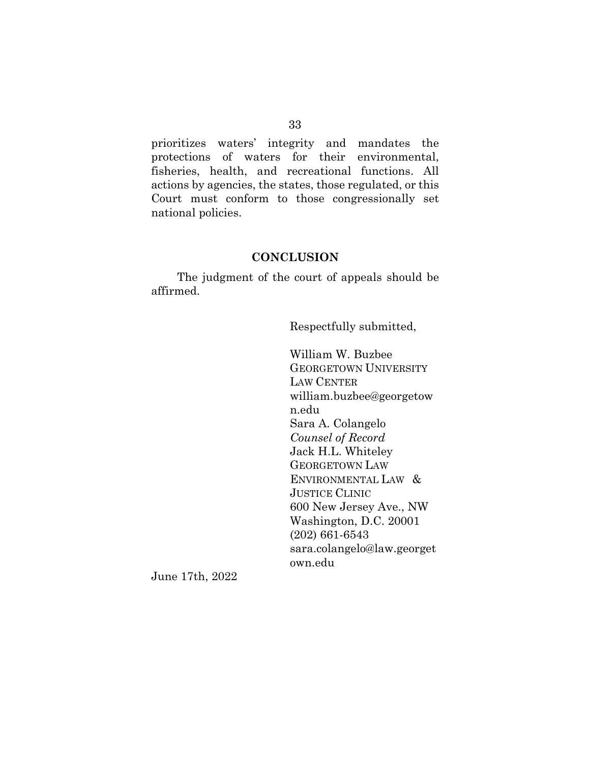prioritizes waters' integrity and mandates the protections of waters for their environmental, fisheries, health, and recreational functions. All actions by agencies, the states, those regulated, or this Court must conform to those congressionally set national policies.

#### **CONCLUSION**

The judgment of the court of appeals should be affirmed.

Respectfully submitted,

William W. Buzbee GEORGETOWN UNIVERSITY LAW CENTER william.buzbee@georgetow n.edu Sara A. Colangelo *Counsel of Record* Jack H.L. Whiteley GEORGETOWN LAW ENVIRONMENTAL LAW & JUSTICE CLINIC 600 New Jersey Ave., NW Washington, D.C. 20001 (202) 661-6543 sara.colangelo@law.georget own.edu

June 17th, 2022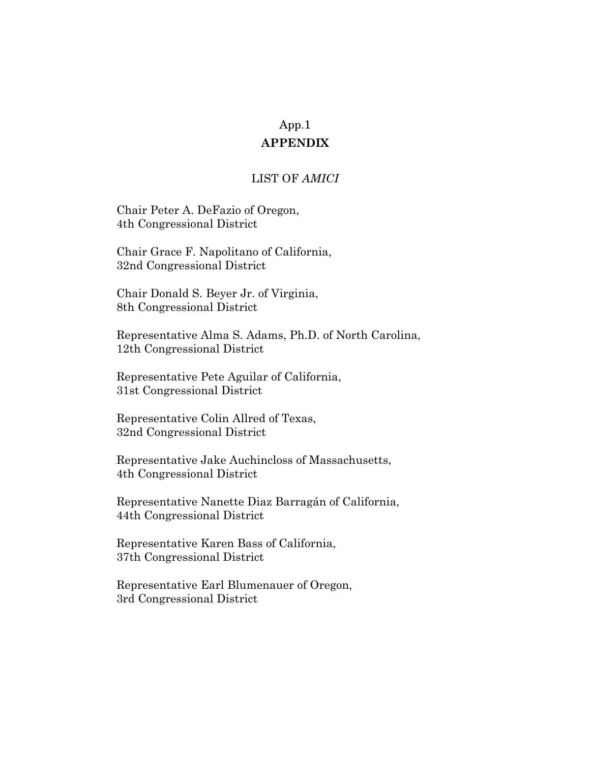#### **APPENDIX**

### LIST OF *AMICI*

Chair Peter A. DeFazio of Oregon, 4th Congressional District

Chair Grace F. Napolitano of California, 32nd Congressional District

Chair Donald S. Beyer Jr. of Virginia, 8th Congressional District

Representative Alma S. Adams, Ph.D. of North Carolina, 12th Congressional District

Representative Pete Aguilar of California, 31st Congressional District

Representative Colin Allred of Texas, 32nd Congressional District

Representative Jake Auchincloss of Massachusetts, 4th Congressional District

Representative Nanette Diaz Barragán of California, 44th Congressional District

Representative Karen Bass of California, 37th Congressional District

Representative Earl Blumenauer of Oregon, 3rd Congressional District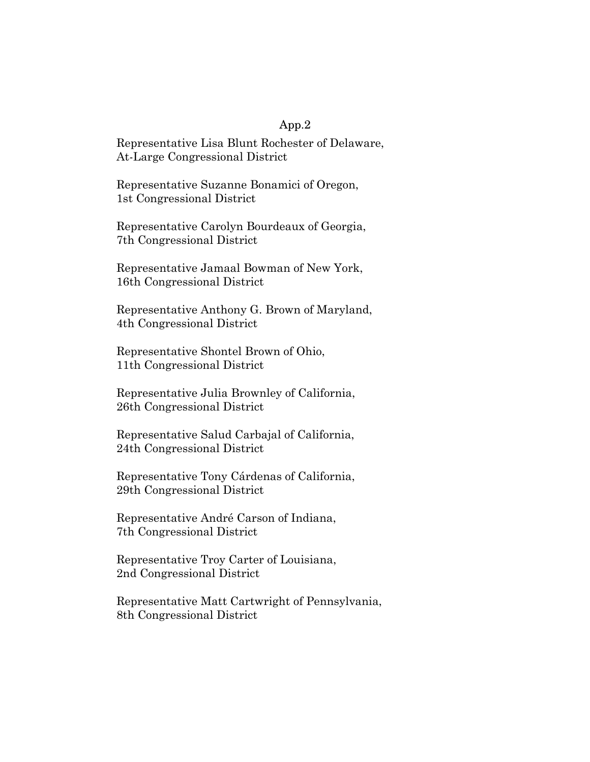Representative Lisa Blunt Rochester of Delaware, At-Large Congressional District

Representative Suzanne Bonamici of Oregon, 1st Congressional District

Representative Carolyn Bourdeaux of Georgia, 7th Congressional District

Representative Jamaal Bowman of New York, 16th Congressional District

Representative Anthony G. Brown of Maryland, 4th Congressional District

Representative Shontel Brown of Ohio, 11th Congressional District

Representative Julia Brownley of California, 26th Congressional District

Representative Salud Carbajal of California, 24th Congressional District

Representative Tony Cárdenas of California, 29th Congressional District

Representative André Carson of Indiana, 7th Congressional District

Representative Troy Carter of Louisiana, 2nd Congressional District

Representative Matt Cartwright of Pennsylvania, 8th Congressional District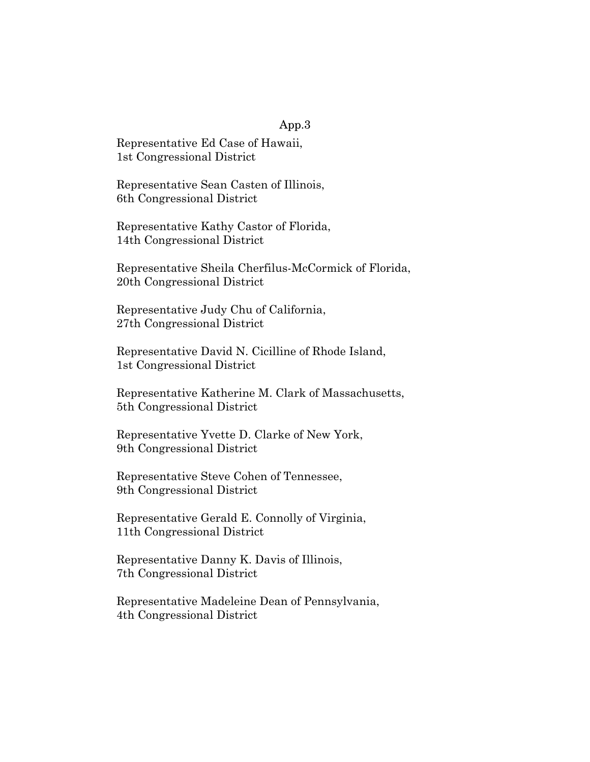Representative Ed Case of Hawaii, 1st Congressional District

Representative Sean Casten of Illinois, 6th Congressional District

Representative Kathy Castor of Florida, 14th Congressional District

Representative Sheila Cherfilus-McCormick of Florida, 20th Congressional District

Representative Judy Chu of California, 27th Congressional District

Representative David N. Cicilline of Rhode Island, 1st Congressional District

Representative Katherine M. Clark of Massachusetts, 5th Congressional District

Representative Yvette D. Clarke of New York, 9th Congressional District

Representative Steve Cohen of Tennessee, 9th Congressional District

Representative Gerald E. Connolly of Virginia, 11th Congressional District

Representative Danny K. Davis of Illinois, 7th Congressional District

Representative Madeleine Dean of Pennsylvania, 4th Congressional District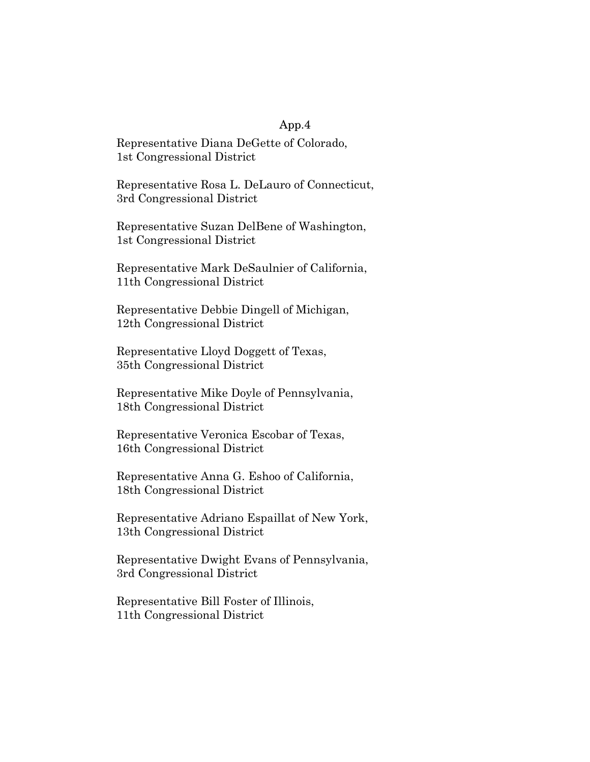Representative Diana DeGette of Colorado, 1st Congressional District

Representative Rosa L. DeLauro of Connecticut, 3rd Congressional District

Representative Suzan DelBene of Washington, 1st Congressional District

Representative Mark DeSaulnier of California, 11th Congressional District

Representative Debbie Dingell of Michigan, 12th Congressional District

Representative Lloyd Doggett of Texas, 35th Congressional District

Representative Mike Doyle of Pennsylvania, 18th Congressional District

Representative Veronica Escobar of Texas, 16th Congressional District

Representative Anna G. Eshoo of California, 18th Congressional District

Representative Adriano Espaillat of New York, 13th Congressional District

Representative Dwight Evans of Pennsylvania, 3rd Congressional District

Representative Bill Foster of Illinois, 11th Congressional District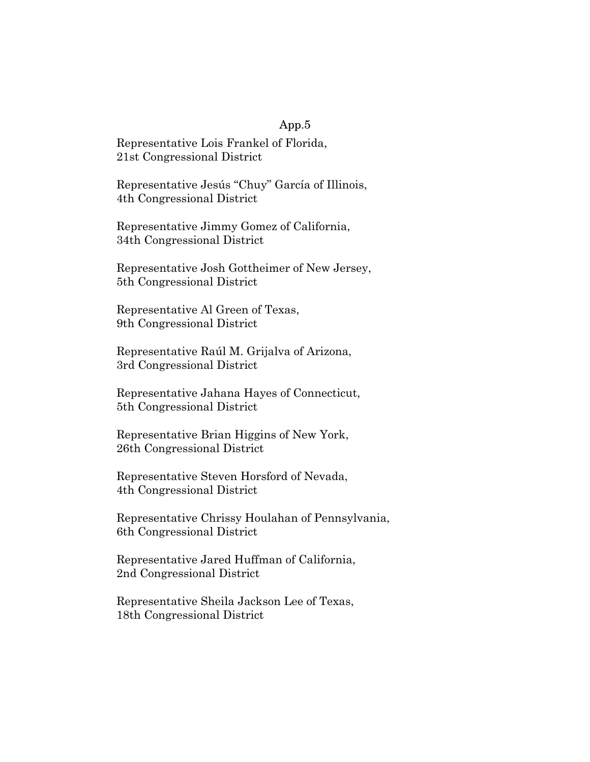Representative Lois Frankel of Florida, 21st Congressional District

Representative Jesús "Chuy" García of Illinois, 4th Congressional District

Representative Jimmy Gomez of California, 34th Congressional District

Representative Josh Gottheimer of New Jersey, 5th Congressional District

Representative Al Green of Texas, 9th Congressional District

Representative Raúl M. Grijalva of Arizona, 3rd Congressional District

Representative Jahana Hayes of Connecticut, 5th Congressional District

Representative Brian Higgins of New York, 26th Congressional District

Representative Steven Horsford of Nevada, 4th Congressional District

Representative Chrissy Houlahan of Pennsylvania, 6th Congressional District

Representative Jared Huffman of California, 2nd Congressional District

Representative Sheila Jackson Lee of Texas, 18th Congressional District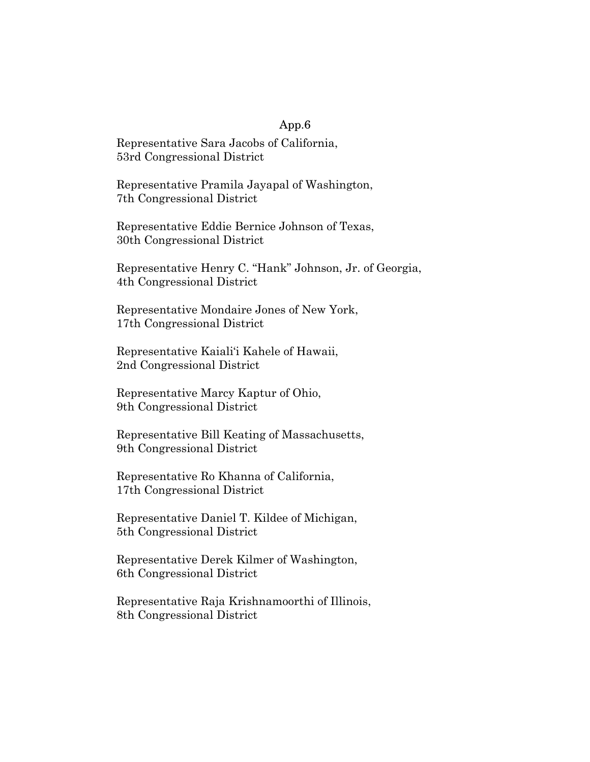Representative Sara Jacobs of California, 53rd Congressional District

Representative Pramila Jayapal of Washington, 7th Congressional District

Representative Eddie Bernice Johnson of Texas, 30th Congressional District

Representative Henry C. "Hank" Johnson, Jr. of Georgia, 4th Congressional District

Representative Mondaire Jones of New York, 17th Congressional District

Representative Kaiali'i Kahele of Hawaii, 2nd Congressional District

Representative Marcy Kaptur of Ohio, 9th Congressional District

Representative Bill Keating of Massachusetts, 9th Congressional District

Representative Ro Khanna of California, 17th Congressional District

Representative Daniel T. Kildee of Michigan, 5th Congressional District

Representative Derek Kilmer of Washington, 6th Congressional District

Representative Raja Krishnamoorthi of Illinois, 8th Congressional District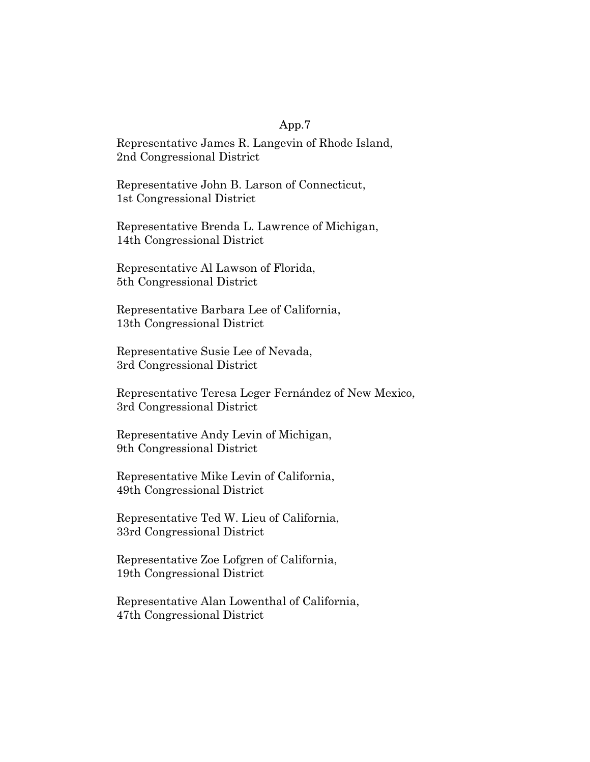Representative James R. Langevin of Rhode Island, 2nd Congressional District

Representative John B. Larson of Connecticut, 1st Congressional District

Representative Brenda L. Lawrence of Michigan, 14th Congressional District

Representative Al Lawson of Florida, 5th Congressional District

Representative Barbara Lee of California, 13th Congressional District

Representative Susie Lee of Nevada, 3rd Congressional District

Representative Teresa Leger Fernández of New Mexico, 3rd Congressional District

Representative Andy Levin of Michigan, 9th Congressional District

Representative Mike Levin of California, 49th Congressional District

Representative Ted W. Lieu of California, 33rd Congressional District

Representative Zoe Lofgren of California, 19th Congressional District

Representative Alan Lowenthal of California, 47th Congressional District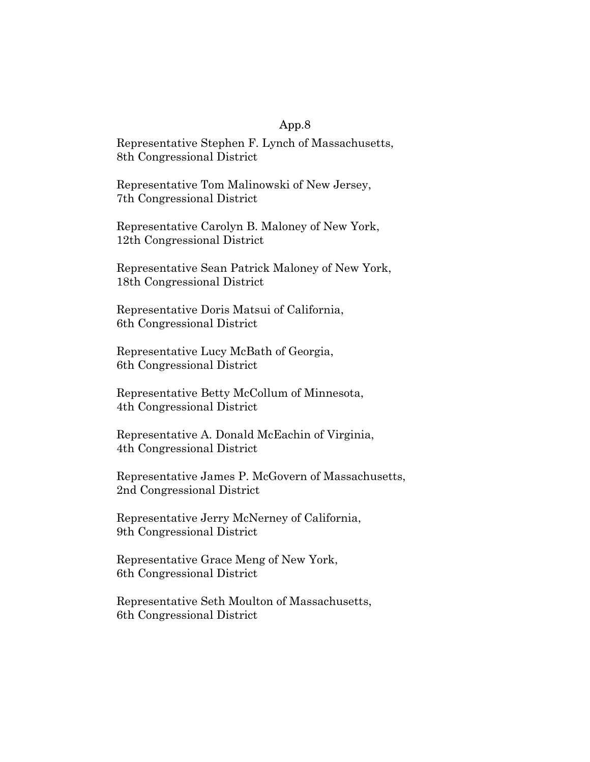Representative Stephen F. Lynch of Massachusetts, 8th Congressional District

Representative Tom Malinowski of New Jersey, 7th Congressional District

Representative Carolyn B. Maloney of New York, 12th Congressional District

Representative Sean Patrick Maloney of New York, 18th Congressional District

Representative Doris Matsui of California, 6th Congressional District

Representative Lucy McBath of Georgia, 6th Congressional District

Representative Betty McCollum of Minnesota, 4th Congressional District

Representative A. Donald McEachin of Virginia, 4th Congressional District

Representative James P. McGovern of Massachusetts, 2nd Congressional District

Representative Jerry McNerney of California, 9th Congressional District

Representative Grace Meng of New York, 6th Congressional District

Representative Seth Moulton of Massachusetts, 6th Congressional District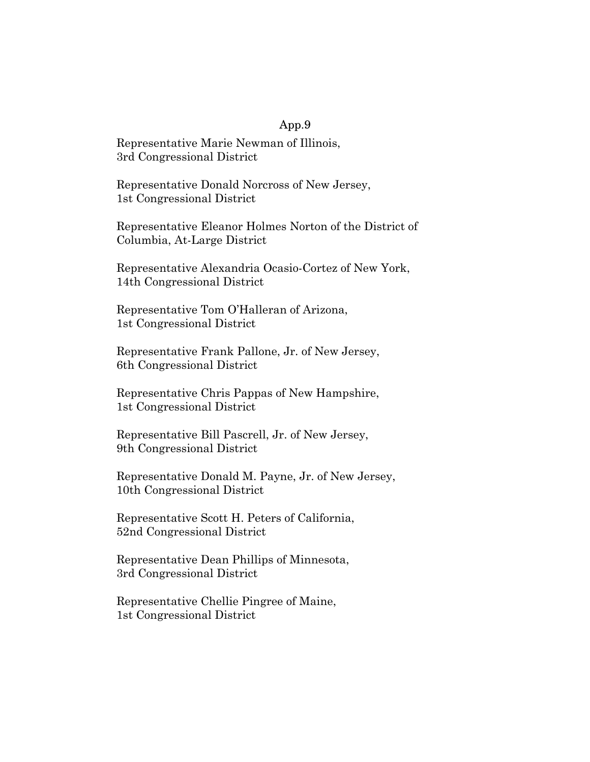Representative Marie Newman of Illinois, 3rd Congressional District

Representative Donald Norcross of New Jersey, 1st Congressional District

Representative Eleanor Holmes Norton of the District of Columbia, At-Large District

Representative Alexandria Ocasio-Cortez of New York, 14th Congressional District

Representative Tom O'Halleran of Arizona, 1st Congressional District

Representative Frank Pallone, Jr. of New Jersey, 6th Congressional District

Representative Chris Pappas of New Hampshire, 1st Congressional District

Representative Bill Pascrell, Jr. of New Jersey, 9th Congressional District

Representative Donald M. Payne, Jr. of New Jersey, 10th Congressional District

Representative Scott H. Peters of California, 52nd Congressional District

Representative Dean Phillips of Minnesota, 3rd Congressional District

Representative Chellie Pingree of Maine, 1st Congressional District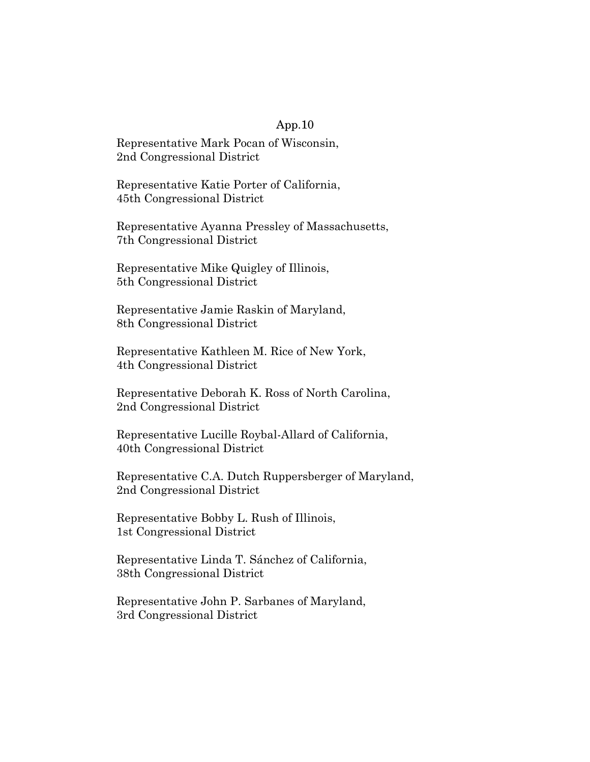Representative Mark Pocan of Wisconsin, 2nd Congressional District

Representative Katie Porter of California, 45th Congressional District

Representative Ayanna Pressley of Massachusetts, 7th Congressional District

Representative Mike Quigley of Illinois, 5th Congressional District

Representative Jamie Raskin of Maryland, 8th Congressional District

Representative Kathleen M. Rice of New York, 4th Congressional District

Representative Deborah K. Ross of North Carolina, 2nd Congressional District

Representative Lucille Roybal-Allard of California, 40th Congressional District

Representative C.A. Dutch Ruppersberger of Maryland, 2nd Congressional District

Representative Bobby L. Rush of Illinois, 1st Congressional District

Representative Linda T. Sánchez of California, 38th Congressional District

Representative John P. Sarbanes of Maryland, 3rd Congressional District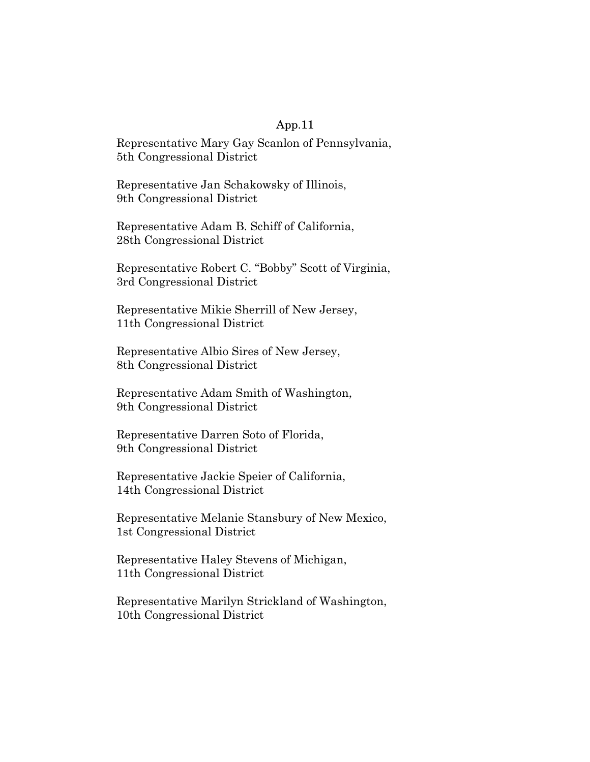Representative Mary Gay Scanlon of Pennsylvania, 5th Congressional District

Representative Jan Schakowsky of Illinois, 9th Congressional District

Representative Adam B. Schiff of California, 28th Congressional District

Representative Robert C. "Bobby" Scott of Virginia, 3rd Congressional District

Representative Mikie Sherrill of New Jersey, 11th Congressional District

Representative Albio Sires of New Jersey, 8th Congressional District

Representative Adam Smith of Washington, 9th Congressional District

Representative Darren Soto of Florida, 9th Congressional District

Representative Jackie Speier of California, 14th Congressional District

Representative Melanie Stansbury of New Mexico, 1st Congressional District

Representative Haley Stevens of Michigan, 11th Congressional District

Representative Marilyn Strickland of Washington, 10th Congressional District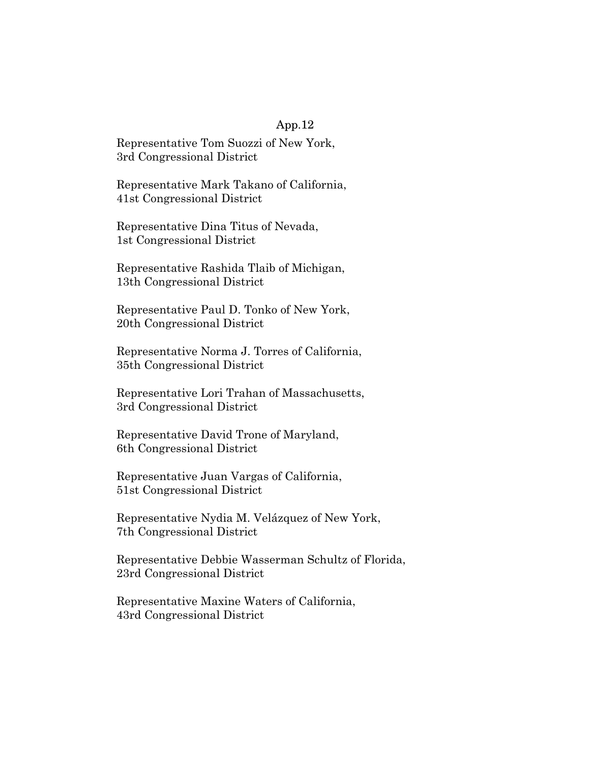Representative Tom Suozzi of New York, 3rd Congressional District

Representative Mark Takano of California, 41st Congressional District

Representative Dina Titus of Nevada, 1st Congressional District

Representative Rashida Tlaib of Michigan, 13th Congressional District

Representative Paul D. Tonko of New York, 20th Congressional District

Representative Norma J. Torres of California, 35th Congressional District

Representative Lori Trahan of Massachusetts, 3rd Congressional District

Representative David Trone of Maryland, 6th Congressional District

Representative Juan Vargas of California, 51st Congressional District

Representative Nydia M. Velázquez of New York, 7th Congressional District

Representative Debbie Wasserman Schultz of Florida, 23rd Congressional District

Representative Maxine Waters of California, 43rd Congressional District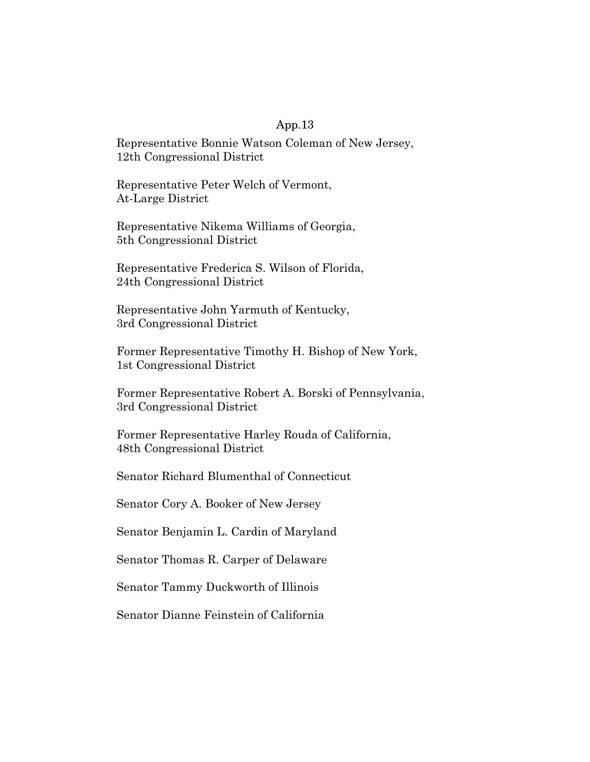Representative Bonnie Watson Coleman of New Jersey, 12th Congressional District

Representative Peter Welch of Vermont, At-Large District

Representative Nikema Williams of Georgia, 5th Congressional District

Representative Frederica S. Wilson of Florida, 24th Congressional District

Representative John Yarmuth of Kentucky, 3rd Congressional District

Former Representative Timothy H. Bishop of New York, 1st Congressional District

Former Representative Robert A. Borski of Pennsylvania, 3rd Congressional District

Former Representative Harley Rouda of California, 48th Congressional District

Senator Richard Blumenthal of Connecticut

Senator Cory A. Booker of New Jersey

Senator Benjamin L. Cardin of Maryland

Senator Thomas R. Carper of Delaware

Senator Tammy Duckworth of Illinois

Senator Dianne Feinstein of California